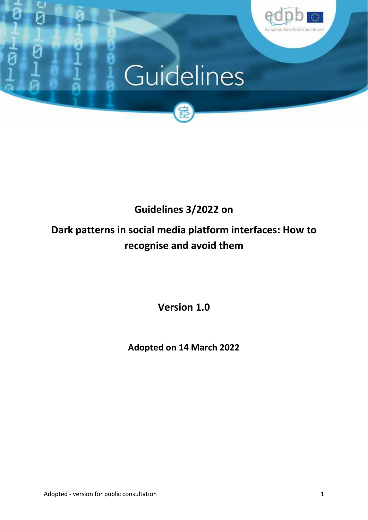

# Guidelines



# **Guidelines 3/2022 on**

# **Dark patterns in social media platform interfaces: How to recognise and avoid them**

**Version 1.0**

**Adopted on 14 March 2022**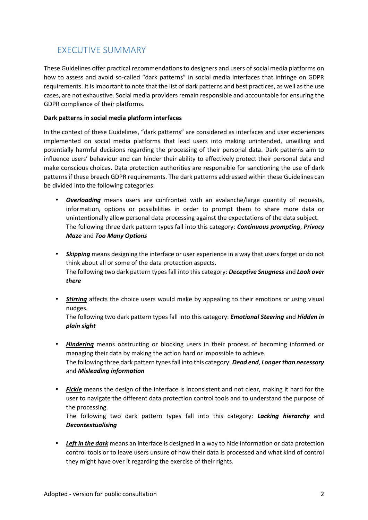# EXECUTIVE SUMMARY

These Guidelines offer practical recommendations to designers and users of social media platforms on how to assess and avoid so-called "dark patterns" in social media interfaces that infringe on GDPR requirements. It is important to note that the list of dark patterns and best practices, as well as the use cases, are not exhaustive. Social media providers remain responsible and accountable for ensuring the GDPR compliance of their platforms.

## **Dark patterns in social media platform interfaces**

In the context of these Guidelines, "dark patterns" are considered as interfaces and user experiences implemented on social media platforms that lead users into making unintended, unwilling and potentially harmful decisions regarding the processing of their personal data. Dark patterns aim to influence users' behaviour and can hinder their ability to effectively protect their personal data and make conscious choices. Data protection authorities are responsible for sanctioning the use of dark patterns if these breach GDPR requirements. The dark patterns addressed within these Guidelines can be divided into the following categories:

- *Overloading* means users are confronted with an avalanche/large quantity of requests, information, options or possibilities in order to prompt them to share more data or unintentionally allow personal data processing against the expectations of the data subject. The following three dark pattern types fall into this category: *Continuous prompting*, *Privacy Maze* and *Too Many Options*
- *Skipping* means designing the interface or user experience in a way that users forget or do not think about all or some of the data protection aspects. The following two dark pattern types fall into this category: *Deceptive Snugness* and *Look over there*
- *Stirring* affects the choice users would make by appealing to their emotions or using visual nudges.

The following two dark pattern types fall into this category: *Emotional Steering* and *Hidden in plain sight*

- *Hindering* means obstructing or blocking users in their process of becoming informed or managing their data by making the action hard or impossible to achieve. The following three dark pattern types fall into this category: *Dead end*, *Longer than necessary* and *Misleading information*
- *Fickle* means the design of the interface is inconsistent and not clear, making it hard for the user to navigate the different data protection control tools and to understand the purpose of the processing.

The following two dark pattern types fall into this category: *Lacking hierarchy* and *Decontextualising*

 *Left in the dark* means an interface is designed in a way to hide information or data protection control tools or to leave users unsure of how their data is processed and what kind of control they might have over it regarding the exercise of their rights.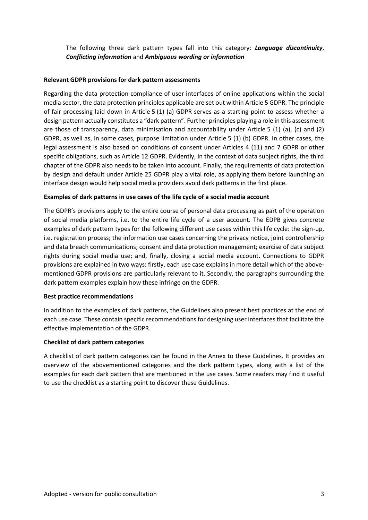The following three dark pattern types fall into this category: *Language discontinuity*, *Conflicting information* and *Ambiguous wording or information*

#### **Relevant GDPR provisions for dark pattern assessments**

Regarding the data protection compliance of user interfaces of online applications within the social media sector, the data protection principles applicable are set out within Article 5 GDPR. The principle of fair processing laid down in Article 5 (1) (a) GDPR serves as a starting point to assess whether a design pattern actually constitutes a "dark pattern". Further principles playing a role in this assessment are those of transparency, data minimisation and accountability under Article 5 (1) (a), (c) and (2) GDPR, as well as, in some cases, purpose limitation under Article 5 (1) (b) GDPR. In other cases, the legal assessment is also based on conditions of consent under Articles 4 (11) and 7 GDPR or other specific obligations, such as Article 12 GDPR. Evidently, in the context of data subject rights, the third chapter of the GDPR also needs to be taken into account. Finally, the requirements of data protection by design and default under Article 25 GDPR play a vital role, as applying them before launching an interface design would help social media providers avoid dark patterns in the first place.

#### **Examples of dark patterns in use cases of the life cycle of a social media account**

The GDPR's provisions apply to the entire course of personal data processing as part of the operation of social media platforms, i.e. to the entire life cycle of a user account. The EDPB gives concrete examples of dark pattern types for the following different use cases within this life cycle: the sign-up, i.e. registration process; the information use cases concerning the privacy notice, joint controllership and data breach communications; consent and data protection management; exercise of data subject rights during social media use; and, finally, closing a social media account. Connections to GDPR provisions are explained in two ways: firstly, each use case explains in more detail which of the above mentioned GDPR provisions are particularly relevant to it. Secondly, the paragraphs surrounding the dark pattern examples explain how these infringe on the GDPR.

#### **Best practice recommendations**

In addition to the examples of dark patterns, the Guidelines also present best practices at the end of each use case. These contain specific recommendations for designing user interfaces that facilitate the effective implementation of the GDPR.

#### **Checklist of dark pattern categories**

A checklist of dark pattern categories can be found in the Annex to these Guidelines. It provides an overview of the abovementioned categories and the dark pattern types, along with a list of the examples for each dark pattern that are mentioned in the use cases. Some readers may find it useful to use the checklist as a starting point to discover these Guidelines.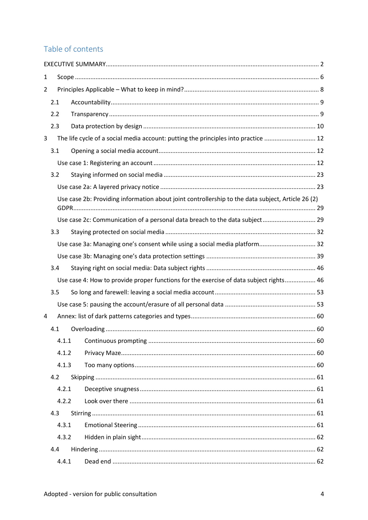# Table of contents

| $\mathbf{1}$   |       |                                                                                                   |  |
|----------------|-------|---------------------------------------------------------------------------------------------------|--|
| $\overline{2}$ |       |                                                                                                   |  |
|                | 2.1   |                                                                                                   |  |
|                | 2.2   |                                                                                                   |  |
|                | 2.3   |                                                                                                   |  |
| 3              |       | The life cycle of a social media account: putting the principles into practice  12                |  |
|                | 3.1   |                                                                                                   |  |
|                |       |                                                                                                   |  |
|                | 3.2   |                                                                                                   |  |
|                |       |                                                                                                   |  |
|                |       | Use case 2b: Providing information about joint controllership to the data subject, Article 26 (2) |  |
|                |       | Use case 2c: Communication of a personal data breach to the data subject 29                       |  |
|                | 3.3   |                                                                                                   |  |
|                |       | Use case 3a: Managing one's consent while using a social media platform 32                        |  |
|                |       |                                                                                                   |  |
|                | 3.4   |                                                                                                   |  |
|                |       | Use case 4: How to provide proper functions for the exercise of data subject rights 46            |  |
|                | 3.5   |                                                                                                   |  |
|                |       |                                                                                                   |  |
| 4              |       |                                                                                                   |  |
|                | 4.1   |                                                                                                   |  |
|                | 4.1.1 |                                                                                                   |  |
|                | 4.1.2 |                                                                                                   |  |
|                | 4.1.3 |                                                                                                   |  |
|                | 4.2   |                                                                                                   |  |
|                | 4.2.1 |                                                                                                   |  |
|                | 4.2.2 |                                                                                                   |  |
|                | 4.3   |                                                                                                   |  |
|                | 4.3.1 |                                                                                                   |  |
|                | 4.3.2 |                                                                                                   |  |
|                | 4.4   |                                                                                                   |  |
|                | 4.4.1 |                                                                                                   |  |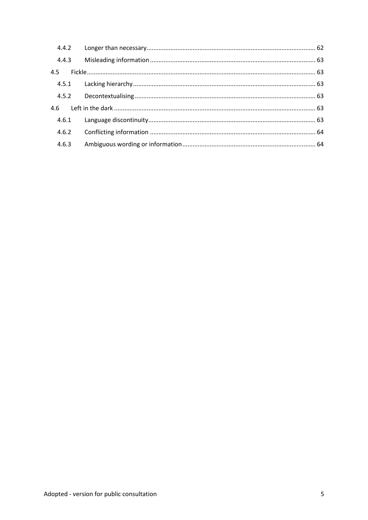| 4.4.3 |  |
|-------|--|
| 4.5   |  |
|       |  |
|       |  |
|       |  |
|       |  |
|       |  |
| 4.6.3 |  |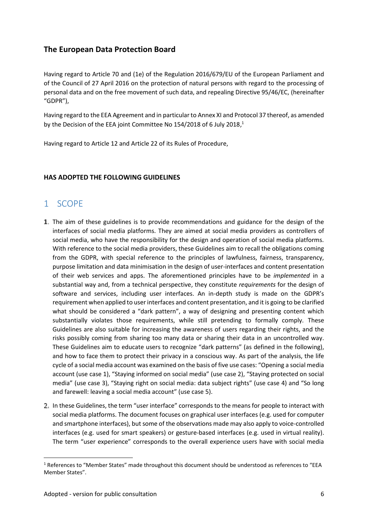# **The European Data Protection Board**

Having regard to Article 70 and (1e) of the Regulation 2016/679/EU of the European Parliament and of the Council of 27 April 2016 on the protection of natural persons with regard to the processing of personal data and on the free movement of such data, and repealing Directive 95/46/EC, (hereinafter "GDPR"),

Having regard to the EEA Agreement and in particular to Annex XI and Protocol 37 thereof, as amended by the Decision of the EEA joint Committee No 154/2018 of 6 July 2018,<sup>1</sup>

Having regard to Article 12 and Article 22 of its Rules of Procedure,

# **HAS ADOPTED THE FOLLOWING GUIDELINES**

# 1 SCOPE

- 1. The aim of these guidelines is to provide recommendations and guidance for the design of the interfaces of social media platforms. They are aimed at social media providers as controllers of social media, who have the responsibility for the design and operation of social media platforms. With reference to the social media providers, these Guidelines aim to recall the obligations coming from the GDPR, with special reference to the principles of lawfulness, fairness, transparency, purpose limitation and data minimisation in the design of user-interfaces and content presentation of their web services and apps. The aforementioned principles have to be *implemented* in a substantial way and, from a technical perspective, they constitute *requirements* for the design of software and services, including user interfaces. An in-depth study is made on the GDPR's requirement when applied to user interfaces and content presentation, and it is going to be clarified what should be considered a "dark pattern", a way of designing and presenting content which substantially violates those requirements, while still pretending to formally comply. These Guidelines are also suitable for increasing the awareness of users regarding their rights, and the risks possibly coming from sharing too many data or sharing their data in an uncontrolled way. These Guidelines aim to educate users to recognize "dark patterns" (as defined in the following), and how to face them to protect their privacy in a conscious way. As part of the analysis, the life cycle of a social media account was examined on the basis of five use cases: "Opening a social media account (use case 1), "Staying informed on social media" (use case 2), "Staying protected on social media" (use case 3), "Staying right on social media: data subject rights" (use case 4) and "So long and farewell: leaving a social media account" (use case 5).
- In these Guidelines, the term "user interface" corresponds to the means for people to interact with social media platforms. The document focuses on graphical user interfaces (e.g. used for computer and smartphone interfaces), but some of the observations made may also apply to voice-controlled interfaces (e.g. used for smart speakers) or gesture-based interfaces (e.g. used in virtual reality). The term "user experience" corresponds to the overall experience users have with social media

<sup>1</sup> References to "Member States" made throughout this document should be understood as references to "EEA Member States".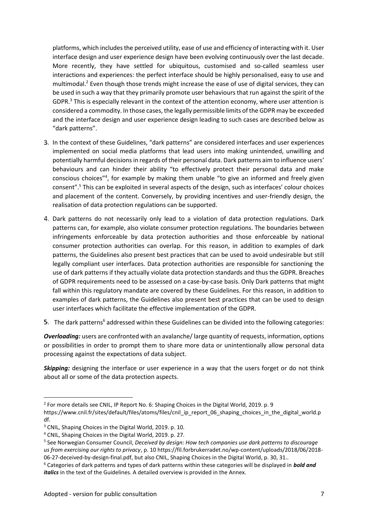platforms, which includes the perceived utility, ease of use and efficiency of interacting with it. User interface design and user experience design have been evolving continuously over the last decade. More recently, they have settled for ubiquitous, customised and so-called seamless user interactions and experiences: the perfect interface should be highly personalised, easy to use and multimodal. $2$  Even though those trends might increase the ease of use of digital services, they can be used in such a way that they primarily promote user behaviours that run against the spirit of the GDPR. $3$  This is especially relevant in the context of the attention economy, where user attention is considered a commodity. In those cases, the legally permissible limits of the GDPR may be exceeded and the interface design and user experience design leading to such cases are described below as "dark patterns".

- In the context of these Guidelines, "dark patterns" are considered interfaces and user experiences implemented on social media platforms that lead users into making unintended, unwilling and potentially harmful decisions in regards of their personal data. Dark patterns aim to influence users' behaviours and can hinder their ability "to effectively protect their personal data and make conscious choices"<sup>4</sup> , for example by making them unable "to give an informed and freely given consent".<sup>5</sup> This can be exploited in several aspects of the design, such as interfaces' colour choices and placement of the content. Conversely, by providing incentives and user-friendly design, the realisation of data protection regulations can be supported.
- 4. Dark patterns do not necessarily only lead to a violation of data protection regulations. Dark patterns can, for example, also violate consumer protection regulations. The boundaries between infringements enforceable by data protection authorities and those enforceable by national consumer protection authorities can overlap. For this reason, in addition to examples of dark patterns, the Guidelines also present best practices that can be used to avoid undesirable but still legally compliant user interfaces. Data protection authorities are responsible for sanctioning the use of dark patterns if they actually violate data protection standards and thus the GDPR. Breaches of GDPR requirements need to be assessed on a case-by-case basis. Only Dark patterns that might fall within this regulatory mandate are covered by these Guidelines. For this reason, in addition to examples of dark patterns, the Guidelines also present best practices that can be used to design user interfaces which facilitate the effective implementation of the GDPR.
- **5.** The dark patterns<sup>6</sup> addressed within these Guidelines can be divided into the following categories:

*Overloading:* users are confronted with an avalanche/ large quantity of requests, information, options or possibilities in order to prompt them to share more data or unintentionally allow personal data processing against the expectations of data subject.

*Skipping:* designing the interface or user experience in a way that the users forget or do not think about all or some of the data protection aspects.

<sup>&</sup>lt;sup>2</sup> For more details see CNIL, IP Report No. 6: Shaping Choices in the Digital World, 2019. p. 9

https://www.cnil.fr/sites/default/files/atoms/files/cnil\_ip\_report\_06\_shaping\_choices\_in\_the\_digital\_world.p df.

<sup>3</sup> CNIL, Shaping Choices in the Digital World, 2019. p. 10.

<sup>4</sup> CNIL, Shaping Choices in the Digital World, 2019. p. 27.

<sup>5</sup> See Norwegian Consumer Council, *Deceived by design: How tech companies use dark patterns to discourage us from exercising our rights to privacy*, p. 10 https://fil.forbrukerradet.no/wp-content/uploads/2018/06/2018- 06-27-deceived-by-design-final.pdf, but also CNIL, Shaping Choices in the Digital World, p. 30, 31..

<sup>6</sup> Categories of dark patterns and types of dark patterns within these categories will be displayed in *bold and italics* in the text of the Guidelines. A detailed overview is provided in the Annex.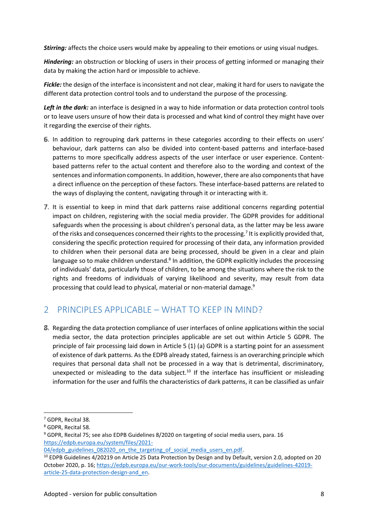*Stirring:* affects the choice users would make by appealing to their emotions or using visual nudges.

*Hindering:* an obstruction or blocking of users in their process of getting informed or managing their data by making the action hard or impossible to achieve.

*Fickle:* the design of the interface is inconsistent and not clear, making it hard for users to navigate the different data protection control tools and to understand the purpose of the processing.

*Left in the dark:* an interface is designed in a way to hide information or data protection control tools or to leave users unsure of how their data is processed and what kind of control they might have over it regarding the exercise of their rights.

- In addition to regrouping dark patterns in these categories according to their effects on users' behaviour, dark patterns can also be divided into content-based patterns and interface-based patterns to more specifically address aspects of the user interface or user experience. Content based patterns refer to the actual content and therefore also to the wording and context of the sentences and information components. In addition, however, there are also components that have a direct influence on the perception of these factors. These interface-based patterns are related to the ways of displaying the content, navigating through it or interacting with it.
- It is essential to keep in mind that dark patterns raise additional concerns regarding potential impact on children, registering with the social media provider. The GDPR provides for additional safeguards when the processing is about children's personal data, as the latter may be less aware of the risks and consequences concerned their rights to the processing.<sup>7</sup> It is explicitly provided that, considering the specific protection required for processing of their data, any information provided to children when their personal data are being processed, should be given in a clear and plain language so to make children understand.<sup>8</sup> In addition, the GDPR explicitly includes the processing of individuals' data, particularly those of children, to be among the situations where the risk to the rights and freedoms of individuals of varying likelihood and severity, may result from data processing that could lead to physical, material or non-material damage.<sup>9</sup>

# 2 PRINCIPLES APPLICABLE – WHAT TO KEEP IN MIND?

Regarding the data protection compliance of user interfaces of online applications within the social media sector, the data protection principles applicable are set out within Article 5 GDPR. The principle of fair processing laid down in Article 5 (1) (a) GDPR is a starting point for an assessment of existence of dark patterns. As the EDPB already stated, fairness is an overarching principle which requires that personal data shall not be processed in a way that is detrimental, discriminatory, unexpected or misleading to the data subject.<sup>10</sup> If the interface has insufficient or misleading information for the user and fulfils the characteristics of dark patterns, it can be classified as unfair

<sup>9</sup> GDPR, Recital 75; see also EDPB Guidelines 8/2020 on targeting of social media users, para. 16 https://edpb.europa.eu/system/files/2021-

<sup>7</sup> GDPR, Recital 38.

<sup>8</sup> GDPR, Recital 58.

<sup>04/</sup>edpb\_guidelines\_082020\_on\_the\_targeting\_of\_social\_media\_users\_en.pdf.

<sup>10</sup> EDPB Guidelines 4/20219 on Article 25 Data Protection by Design and by Default, version 2.0, adopted on 20 October 2020, p. 16; https://edpb.europa.eu/our-work-tools/our-documents/guidelines/guidelines-42019 article-25-data-protection-design-and\_en.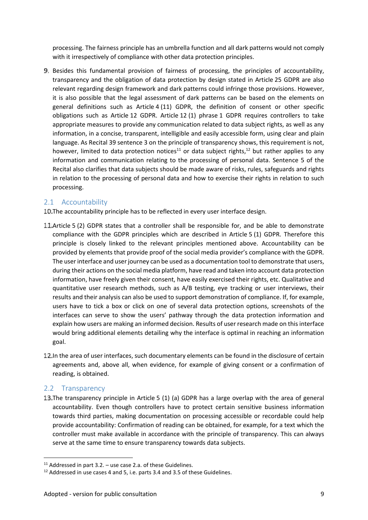processing. The fairness principle has an umbrella function and all dark patterns would not comply with it irrespectively of compliance with other data protection principles.

Besides this fundamental provision of fairness of processing, the principles of accountability, transparency and the obligation of data protection by design stated in Article 25 GDPR are also relevant regarding design framework and dark patterns could infringe those provisions. However, it is also possible that the legal assessment of dark patterns can be based on the elements on general definitions such as Article 4 (11) GDPR, the definition of consent or other specific obligations such as Article 12 GDPR. Article 12 (1) phrase 1 GDPR requires controllers to take appropriate measures to provide any communication related to data subject rights, as well as any information, in a concise, transparent, intelligible and easily accessible form, using clear and plain language. As Recital 39 sentence 3 on the principle of transparency shows, this requirement is not, however, limited to data protection notices<sup>11</sup> or data subject rights,<sup>12</sup> but rather applies to any information and communication relating to the processing of personal data. Sentence 5 of the Recital also clarifies that data subjects should be made aware of risks, rules, safeguards and rights in relation to the processing of personal data and how to exercise their rights in relation to such processing.

# 2.1 Accountability

10. The accountability principle has to be reflected in every user interface design.

- 11. Article 5 (2) GDPR states that a controller shall be responsible for, and be able to demonstrate compliance with the GDPR principles which are described in Article 5 (1) GDPR. Therefore this principle is closely linked to the relevant principles mentioned above. Accountability can be provided by elements that provide proof of the social media provider's compliance with the GDPR. The user interface and user journey can be used as a documentation tool to demonstrate that users, during their actions on the social media platform, have read and taken into account data protection information, have freely given their consent, have easily exercised their rights, etc. Qualitative and quantitative user research methods, such as A/B testing, eye tracking or user interviews, their results and their analysis can also be used to support demonstration of compliance. If, for example, users have to tick a box or click on one of several data protection options, screenshots of the interfaces can serve to show the users' pathway through the data protection information and explain how users are making an informed decision. Results of user research made on this interface would bring additional elements detailing why the interface is optimal in reaching an information goal.
- 12. In the area of user interfaces, such documentary elements can be found in the disclosure of certain agreements and, above all, when evidence, for example of giving consent or a confirmation of reading, is obtained.

# 2.2 Transparency

13. The transparency principle in Article 5 (1) (a) GDPR has a large overlap with the area of general accountability. Even though controllers have to protect certain sensitive business information towards third parties, making documentation on processing accessible or recordable could help provide accountability: Confirmation of reading can be obtained, for example, for a text which the controller must make available in accordance with the principle of transparency. This can always serve at the same time to ensure transparency towards data subjects.

 $11$  Addressed in part 3.2. – use case 2.a. of these Guidelines.

<sup>&</sup>lt;sup>12</sup> Addressed in use cases 4 and 5, i.e. parts 3.4 and 3.5 of these Guidelines.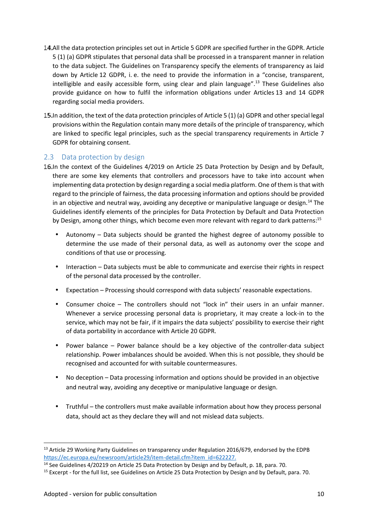- All the data protection principles set out in Article 5 GDPR are specified further in the GDPR. Article 5 (1) (a) GDPR stipulates that personal data shall be processed in a transparent manner in relation to the data subject. The Guidelines on Transparency specify the elements of transparency as laid down by Article 12 GDPR, i. e. the need to provide the information in a "concise, transparent, intelligible and easily accessible form, using clear and plain language".<sup>13</sup> These Guidelines also provide guidance on how to fulfil the information obligations under Articles 13 and 14 GDPR regarding social media providers.
- 15. In addition, the text of the data protection principles of Article 5 (1) (a) GDPR and other special legal provisions within the Regulation contain many more details of the principle of transparency, which are linked to specific legal principles, such as the special transparency requirements in Article 7 GDPR for obtaining consent.

# 2.3 Data protection by design

- 16.In the context of the Guidelines 4/2019 on Article 25 Data Protection by Design and by Default, there are some key elements that controllers and processors have to take into account when implementing data protection by design regarding a social media platform. One of them is that with regard to the principle of fairness, the data processing information and options should be provided in an objective and neutral way, avoiding any deceptive or manipulative language or design.<sup>14</sup> The Guidelines identify elements of the principles for Data Protection by Default and Data Protection by Design, among other things, which become even more relevant with regard to dark patterns:<sup>15</sup>
	- Autonomy Data subjects should be granted the highest degree of autonomy possible to determine the use made of their personal data, as well as autonomy over the scope and conditions of that use or processing.
	- Interaction Data subjects must be able to communicate and exercise their rights in respect of the personal data processed by the controller.
	- Expectation Processing should correspond with data subjects' reasonable expectations.
	- Consumer choice The controllers should not "lock in" their users in an unfair manner. Whenever a service processing personal data is proprietary, it may create a lock-in to the service, which may not be fair, if it impairs the data subjects' possibility to exercise their right of data portability in accordance with Article 20 GDPR.
	- Power balance Power balance should be a key objective of the controller-data subject relationship. Power imbalances should be avoided. When this is not possible, they should be recognised and accounted for with suitable countermeasures.
	- $\overline{a}$  No deception Data processing information and options should be provided in an objective and neutral way, avoiding any deceptive or manipulative language or design.
	- Truthful the controllers must make available information about how they process personal data, should act as they declare they will and not mislead data subjects.

<sup>&</sup>lt;sup>13</sup> Article 29 Working Party Guidelines on transparency under Regulation 2016/679, endorsed by the EDPB https://ec.europa.eu/newsroom/article29/item-detail.cfm?item\_id=622227.

<sup>&</sup>lt;sup>14</sup> See Guidelines 4/20219 on Article 25 Data Protection by Design and by Default, p. 18, para. 70.

<sup>&</sup>lt;sup>15</sup> Excerpt - for the full list, see Guidelines on Article 25 Data Protection by Design and by Default, para. 70.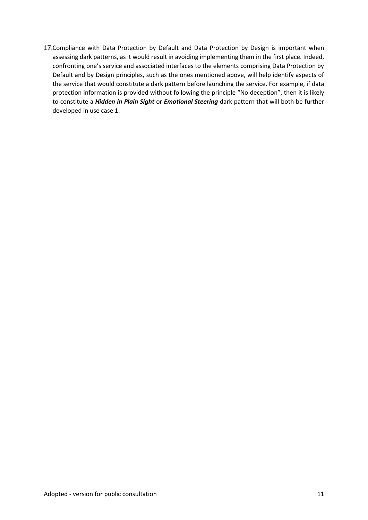17. Compliance with Data Protection by Default and Data Protection by Design is important when assessing dark patterns, as it would result in avoiding implementing them in the first place. Indeed, confronting one's service and associated interfaces to the elements comprising Data Protection by Default and by Design principles, such as the ones mentioned above, will help identify aspects of the service that would constitute a dark pattern before launching the service. For example, if data protection information is provided without following the principle "No deception", then it is likely to constitute a *Hidden in Plain Sight* or *Emotional Steering* dark pattern that will both be further developed in use case 1.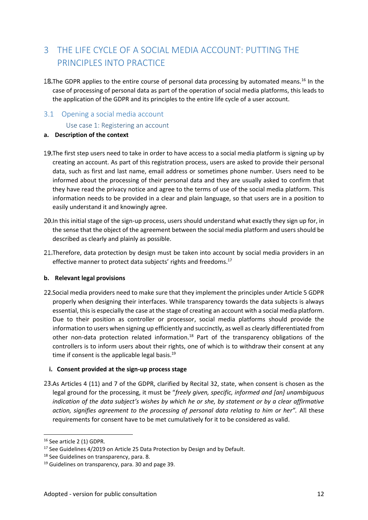# 3 THE LIFE CYCLE OF A SOCIAL MEDIA ACCOUNT: PUTTING THE PRINCIPLES INTO PRACTICE

18. The GDPR applies to the entire course of personal data processing by automated means.<sup>16</sup> In the case of processing of personal data as part of the operation of social media platforms, this leads to the application of the GDPR and its principles to the entire life cycle of a user account.

# 3.1 Opening a social media account

Use case 1: Registering an account

#### **a. Description of the context**

- 19. The first step users need to take in order to have access to a social media platform is signing up by creating an account. As part of this registration process, users are asked to provide their personal data, such as first and last name, email address or sometimes phone number. Users need to be informed about the processing of their personal data and they are usually asked to confirm that they have read the privacy notice and agree to the terms of use of the social media platform. This information needs to be provided in a clear and plain language, so that users are in a position to easily understand it and knowingly agree.
- 20. In this initial stage of the sign-up process, users should understand what exactly they sign up for, in the sense that the object of the agreement between the social media platform and users should be described as clearly and plainly as possible.
- 21. Therefore, data protection by design must be taken into account by social media providers in an effective manner to protect data subjects' rights and freedoms.<sup>17</sup>

# **b. Relevant legal provisions**

Social media providers need to make sure that they implement the principles under Article 5 GDPR properly when designing their interfaces. While transparency towards the data subjects is always essential, this is especially the case at the stage of creating an account with a social media platform. Due to their position as controller or processor, social media platforms should provide the information to users when signing up efficiently and succinctly, as well as clearly differentiated from other non-data protection related information.<sup>18</sup> Part of the transparency obligations of the controllers is to inform users about their rights, one of which is to withdraw their consent at any time if consent is the applicable legal basis. $^{19}$ 

# **i. Consent provided at the sign-up process stage**

As Articles 4 (11) and 7 of the GDPR, clarified by Recital 32, state, when consent is chosen as the legal ground for the processing, it must be "*freely given, specific, informed and [an] unambiguous indication of the data subject's wishes by which he or she, by statement or by a clear affirmative action, signifies agreement to the processing of personal data relating to him or her".* All these requirements for consent have to be met cumulatively for it to be considered as valid.

<sup>&</sup>lt;sup>16</sup> See article 2 (1) GDPR.

<sup>&</sup>lt;sup>17</sup> See Guidelines 4/2019 on Article 25 Data Protection by Design and by Default.

<sup>&</sup>lt;sup>18</sup> See Guidelines on transparency, para. 8.

<sup>&</sup>lt;sup>19</sup> Guidelines on transparency, para. 30 and page 39.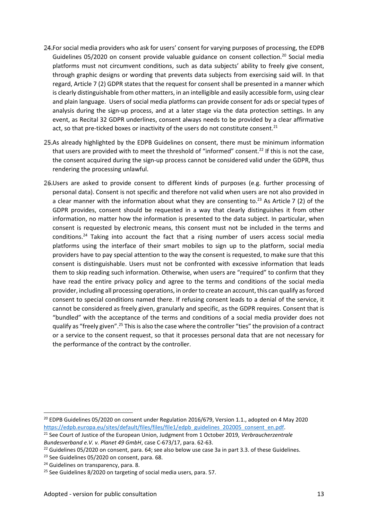- 24. For social media providers who ask for users' consent for varying purposes of processing, the EDPB Guidelines 05/2020 on consent provide valuable guidance on consent collection.<sup>20</sup> Social media platforms must not circumvent conditions, such as data subjects' ability to freely give consent, through graphic designs or wording that prevents data subjects from exercising said will. In that regard, Article 7 (2) GDPR states that the request for consent shall be presented in a manner which is clearly distinguishable from other matters, in an intelligible and easily accessible form, using clear and plain language. Users of social media platforms can provide consent for ads or special types of analysis during the sign-up process, and at a later stage via the data protection settings. In any event, as Recital 32 GDPR underlines, consent always needs to be provided by a clear affirmative act, so that pre-ticked boxes or inactivity of the users do not constitute consent. $^{21}$
- 25.As already highlighted by the EDPB Guidelines on consent, there must be minimum information that users are provided with to meet the threshold of "informed" consent.<sup>22</sup> If this is not the case, the consent acquired during the sign-up process cannot be considered valid under the GDPR, thus rendering the processing unlawful.
- Users are asked to provide consent to different kinds of purposes (e.g. further processing of personal data). Consent is not specific and therefore not valid when users are not also provided in a clear manner with the information about what they are consenting to.<sup>23</sup> As Article 7 (2) of the GDPR provides, consent should be requested in a way that clearly distinguishes it from other information, no matter how the information is presented to the data subject. In particular, when consent is requested by electronic means, this consent must not be included in the terms and conditions.<sup>24</sup> Taking into account the fact that a rising number of users access social media platforms using the interface of their smart mobiles to sign up to the platform, social media providers have to pay special attention to the way the consent is requested, to make sure that this consent is distinguishable. Users must not be confronted with excessive information that leads them to skip reading such information. Otherwise, when users are "required" to confirm that they have read the entire privacy policy and agree to the terms and conditions of the social media provider, including all processing operations, in order to create an account, this can qualify as forced consent to special conditions named there. If refusing consent leads to a denial of the service, it cannot be considered as freely given, granularly and specific, as the GDPR requires. Consent that is "bundled" with the acceptance of the terms and conditions of a social media provider does not qualify as "freely given".<sup>25</sup> This is also the case where the controller "ties" the provision of a contract or a service to the consent request, so that it processes personal data that are not necessary for the performance of the contract by the controller.

 $20$  EDPB Guidelines 05/2020 on consent under Regulation 2016/679, Version 1.1., adopted on 4 May 2020 https://edpb.europa.eu/sites/default/files/files/file1/edpb\_guidelines\_202005\_consent\_en.pdf.

<sup>21</sup> See Court of Justice of the European Union, Judgment from 1 October 2019, *Verbraucherzentrale Bundesverband e.V. v. Planet 49 GmbH*, case C-673/17, para. 62-63.

<sup>&</sup>lt;sup>22</sup> Guidelines 05/2020 on consent, para. 64; see also below use case 3a in part 3.3. of these Guidelines.

<sup>&</sup>lt;sup>23</sup> See Guidelines 05/2020 on consent, para. 68.

<sup>&</sup>lt;sup>24</sup> Guidelines on transparency, para. 8.

<sup>&</sup>lt;sup>25</sup> See Guidelines 8/2020 on targeting of social media users, para. 57.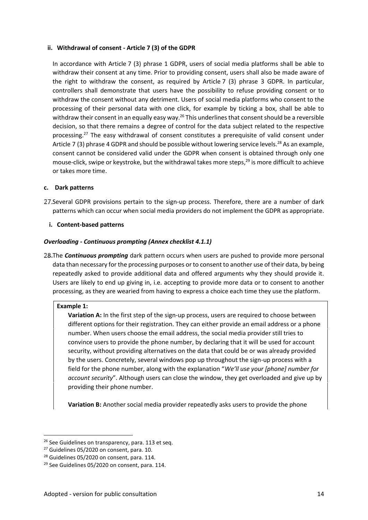#### **ii. Withdrawal of consent - Article 7 (3) of the GDPR**

In accordance with Article 7 (3) phrase 1 GDPR, users of social media platforms shall be able to withdraw their consent at any time. Prior to providing consent, users shall also be made aware of the right to withdraw the consent, as required by Article 7 (3) phrase 3 GDPR. In particular, controllers shall demonstrate that users have the possibility to refuse providing consent or to withdraw the consent without any detriment. Users of social media platforms who consent to the processing of their personal data with one click, for example by ticking a box, shall be able to withdraw their consent in an equally easy way.<sup>26</sup> This underlines that consent should be a reversible decision, so that there remains a degree of control for the data subject related to the respective processing.<sup>27</sup> The easy withdrawal of consent constitutes a prerequisite of valid consent under Article 7 (3) phrase 4 GDPR and should be possible without lowering service levels.<sup>28</sup> As an example, consent cannot be considered valid under the GDPR when consent is obtained through only one mouse-click, swipe or keystroke, but the withdrawal takes more steps, $^{29}$  is more difficult to achieve or takes more time.

#### **c. Dark patterns**

27. Several GDPR provisions pertain to the sign-up process. Therefore, there are a number of dark patterns which can occur when social media providers do not implement the GDPR as appropriate.

#### **i. Content-based patterns**

#### *Overloading - Continuous prompting (Annex checklist 4.1.1)*

28. The **Continuous prompting** dark pattern occurs when users are pushed to provide more personal data than necessary for the processing purposes or to consent to another use of their data, by being repeatedly asked to provide additional data and offered arguments why they should provide it. Users are likely to end up giving in, i.e. accepting to provide more data or to consent to another processing, as they are wearied from having to express a choice each time they use the platform.

#### **Example 1:**

**Variation A:** In the first step of the sign-up process, users are required to choose between different options for their registration. They can either provide an email address or a phone number. When users choose the email address, the social media provider still tries to convince users to provide the phone number, by declaring that it will be used for account security, without providing alternatives on the data that could be or was already provided by the users. Concretely, several windows pop up throughout the sign-up process with a field for the phone number, along with the explanation "*We'll use your [phone] number for account security*". Although users can close the window, they get overloaded and give up by providing their phone number.

**Variation B:** Another social media provider repeatedly asks users to provide the phone

<sup>&</sup>lt;sup>26</sup> See Guidelines on transparency, para. 113 et seq.

<sup>&</sup>lt;sup>27</sup> Guidelines 05/2020 on consent, para. 10.

 $28$  Guidelines 05/2020 on consent, para. 114.

<sup>&</sup>lt;sup>29</sup> See Guidelines 05/2020 on consent, para. 114.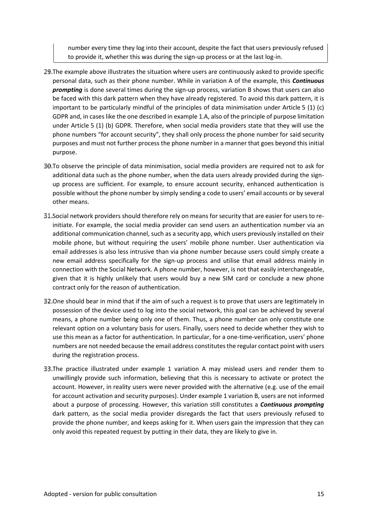number every time they log into their account, despite the fact that users previously refused to provide it, whether this was during the sign-up process or at the last log-in.

- The example above illustrates the situation where users are continuously asked to provide specific personal data, such as their phone number. While in variation A of the example, this *Continuous prompting* is done several times during the sign-up process, variation B shows that users can also be faced with this dark pattern when they have already registered. To avoid this dark pattern, it is important to be particularly mindful of the principles of data minimisation under Article 5 (1) (c) GDPR and, in cases like the one described in example 1.A, also of the principle of purpose limitation under Article 5 (1) (b) GDPR. Therefore, when social media providers state that they will use the phone numbers "for account security", they shall only process the phone number for said security purposes and must not further process the phone number in a manner that goes beyond this initial purpose.
- To observe the principle of data minimisation, social media providers are required not to ask for additional data such as the phone number, when the data users already provided during the sign up process are sufficient. For example, to ensure account security, enhanced authentication is possible without the phone number by simply sending a code to users' email accounts or by several other means.
- 31. Social network providers should therefore rely on means for security that are easier for users to reinitiate. For example, the social media provider can send users an authentication number via an additional communication channel, such as a security app, which users previously installed on their mobile phone, but without requiring the users' mobile phone number. User authentication via email addresses is also less intrusive than via phone number because users could simply create a new email address specifically for the sign-up process and utilise that email address mainly in connection with the Social Network. A phone number, however, is not that easily interchangeable, given that it is highly unlikely that users would buy a new SIM card or conclude a new phone contract only for the reason of authentication.
- B2. One should bear in mind that if the aim of such a request is to prove that users are legitimately in possession of the device used to log into the social network, this goal can be achieved by several means, a phone number being only one of them. Thus, a phone number can only constitute one relevant option on a voluntary basis for users. Finally, users need to decide whether they wish to use this mean as a factor for authentication. In particular, for a one-time-verification, users' phone numbers are not needed because the email address constitutes the regular contact point with users during the registration process.
- The practice illustrated under example 1 variation A may mislead users and render them to unwillingly provide such information, believing that this is necessary to activate or protect the account. However, in reality users were never provided with the alternative (e.g. use of the email for account activation and security purposes). Under example 1 variation B, users are not informed about a purpose of processing. However, this variation still constitutes a *Continuous prompting* dark pattern, as the social media provider disregards the fact that users previously refused to provide the phone number, and keeps asking for it. When users gain the impression that they can only avoid this repeated request by putting in their data, they are likely to give in.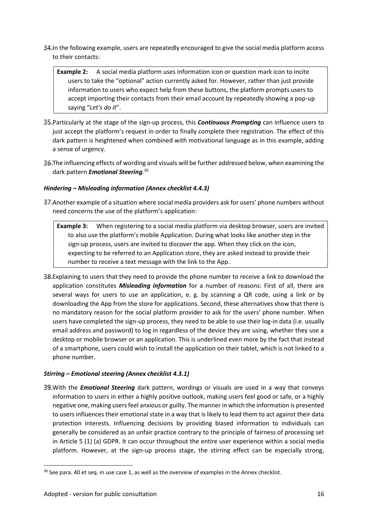- In the following example, users are repeatedly encouraged to give the social media platform access to their contacts:
	- **Example 2:** A social media platform uses information icon or question mark icon to incite users to take the "optional" action currently asked for. However, rather than just provide information to users who expect help from these buttons, the platform prompts users to accept importing their contacts from their email account by repeatedly showing a pop-up saying "*Let's do it*".
- Particularly at the stage of the sign-up process, this *Continuous Prompting* can influence users to just accept the platform's request in order to finally complete their registration. The effect of this dark pattern is heightened when combined with motivational language as in this example, adding a sense of urgency.
- The influencing effects of wording and visuals will be further addressed below, when examining the dark pattern *Emotional Steering.*<sup>30</sup>

# *Hindering – Misleading information (Annex checklist 4.4.3)*

- Another example of a situation where social media providers ask for users' phone numbers without need concerns the use of the platform's application:
	- **Example 3:** When registering to a social media platform via desktop browser, users are invited to also use the platform's mobile Application. During what looks like another step in the sign-up process, users are invited to discover the app. When they click on the icon, expecting to be referred to an Application store, they are asked instead to provide their number to receive a text message with the link to the App.
- Explaining to users that they need to provide the phone number to receive a link to download the application constitutes *Misleading information* for a number of reasons: First of all, there are several ways for users to use an application, e. g. by scanning a QR code, using a link or by downloading the App from the store for applications. Second, these alternatives show that there is no mandatory reason for the social platform provider to ask for the users' phone number. When users have completed the sign-up process, they need to be able to use their log-in data (i.e. usually email address and password) to log in regardless of the device they are using, whether they use a desktop or mobile browser or an application. This is underlined even more by the fact that instead of a smartphone, users could wish to install the application on their tablet, which is not linked to a phone number.

# *Stirring – Emotional steering (Annex checklist 4.3.1)*

With the *Emotional Steering* dark pattern, wordings or visuals are used in a way that conveys information to users in either a highly positive outlook, making users feel good or safe, or a highly negative one, making users feel anxious or guilty. The manner in which the information is presented to users influences their emotional state in a way that is likely to lead them to act against their data protection interests. Influencing decisions by providing biased information to individuals can generally be considered as an unfair practice contrary to the principle of fairness of processing set in Article 5 (1) (a) GDPR. It can occur throughout the entire user experience within a social media platform. However, at the sign-up process stage, the stirring effect can be especially strong,

<sup>&</sup>lt;sup>30</sup> See para. 40 et seq. in use case 1, as well as the overview of examples in the Annex checklist.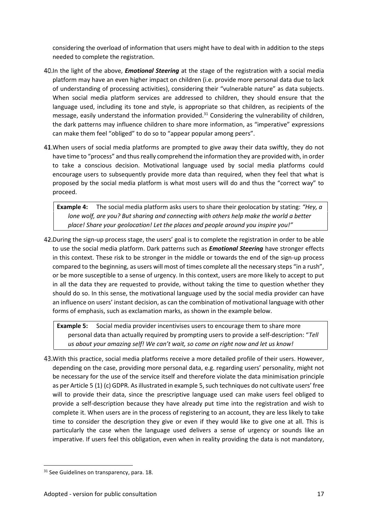considering the overload of information that users might have to deal with in addition to the steps needed to complete the registration.

- In the light of the above, *Emotional Steering* at the stage of the registration with a social media platform may have an even higher impact on children (i.e. provide more personal data due to lack of understanding of processing activities), considering their "vulnerable nature" as data subjects. When social media platform services are addressed to children, they should ensure that the language used, including its tone and style, is appropriate so that children, as recipients of the message, easily understand the information provided.<sup>31</sup> Considering the vulnerability of children, the dark patterns may influence children to share more information, as "imperative" expressions can make them feel "obliged" to do so to "appear popular among peers".
- When users of social media platforms are prompted to give away their data swiftly, they do not have time to "process" and thus really comprehend the information they are provided with, in order to take a conscious decision. Motivational language used by social media platforms could encourage users to subsequently provide more data than required, when they feel that what is proposed by the social media platform is what most users will do and thus the "correct way" to proceed.

**Example 4:** The social media platform asks users to share their geolocation by stating: *"Hey, a lone wolf, are you? But sharing and connecting with others help make the world a better place! Share your geolocation! Let the places and people around you inspire you!"*

42. During the sign-up process stage, the users' goal is to complete the registration in order to be able to use the social media platform. Dark patterns such as *Emotional Steering* have stronger effects in this context. These risk to be stronger in the middle or towards the end of the sign-up process compared to the beginning, as users will most of times complete all the necessary steps "in a rush", or be more susceptible to a sense of urgency. In this context, users are more likely to accept to put in all the data they are requested to provide, without taking the time to question whether they should do so. In this sense, the motivational language used by the social media provider can have an influence on users' instant decision, as can the combination of motivational language with other forms of emphasis, such as exclamation marks, as shown in the example below.

**Example 5:** Social media provider incentivises users to encourage them to share more personal data than actually required by prompting users to provide a self-description: "*Tell us about your amazing self! We can't wait, so come on right now and let us know!*

With this practice, social media platforms receive a more detailed profile of their users. However, depending on the case, providing more personal data, e.g. regarding users' personality, might not be necessary for the use of the service itself and therefore violate the data minimisation principle as per Article 5 (1) (c) GDPR. As illustrated in example 5, such techniques do not cultivate users' free will to provide their data, since the prescriptive language used can make users feel obliged to provide a self-description because they have already put time into the registration and wish to complete it. When users are in the process of registering to an account, they are less likely to take time to consider the description they give or even if they would like to give one at all. This is particularly the case when the language used delivers a sense of urgency or sounds like an imperative. If users feel this obligation, even when in reality providing the data is not mandatory,

<sup>&</sup>lt;sup>31</sup> See Guidelines on transparency, para. 18.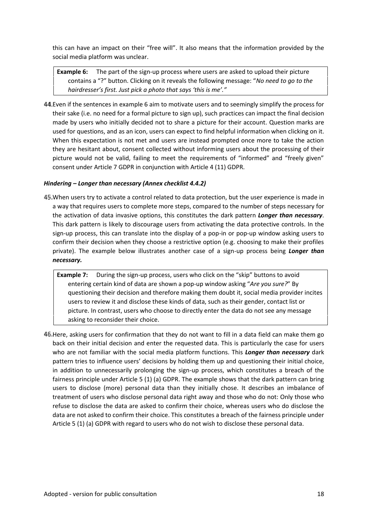this can have an impact on their "free will". It also means that the information provided by the social media platform was unclear.

**Example 6:** The part of the sign-up process where users are asked to upload their picture contains a "?" button. Clicking on it reveals the following message: "*No need to go to the hairdresser's first. Just pick a photo that says 'this is me'."*

44. Even if the sentences in example 6 aim to motivate users and to seemingly simplify the process for their sake (i.e. no need for a formal picture to sign up), such practices can impact the final decision made by users who initially decided not to share a picture for their account. Question marks are used for questions, and as an icon, users can expect to find helpful information when clicking on it. When this expectation is not met and users are instead prompted once more to take the action they are hesitant about, consent collected without informing users about the processing of their picture would not be valid, failing to meet the requirements of "informed" and "freely given" consent under Article 7 GDPR in conjunction with Article 4 (11) GDPR.

# *Hindering – Longer than necessary (Annex checklist 4.4.2)*

When users try to activate a control related to data protection, but the user experience is made in a way that requires users to complete more steps, compared to the number of steps necessary for the activation of data invasive options, this constitutes the dark pattern *Longer than necessary*. This dark pattern is likely to discourage users from activating the data protective controls. In the sign-up process, this can translate into the display of a pop-in or pop-up window asking users to confirm their decision when they choose a restrictive option (e.g. choosing to make their profiles private). The example below illustrates another case of a sign-up process being *Longer than necessary.*

**Example 7:** During the sign-up process, users who click on the "skip" buttons to avoid entering certain kind of data are shown a pop-up window asking "*Are you sure?*" By questioning their decision and therefore making them doubt it, social media provider incites users to review it and disclose these kinds of data, such as their gender, contact list or picture. In contrast, users who choose to directly enter the data do not see any message asking to reconsider their choice.

Here, asking users for confirmation that they do not want to fill in a data field can make them go back on their initial decision and enter the requested data. This is particularly the case for users who are not familiar with the social media platform functions. This *Longer than necessary* dark pattern tries to influence users' decisions by holding them up and questioning their initial choice, in addition to unnecessarily prolonging the sign-up process, which constitutes a breach of the fairness principle under Article 5 (1) (a) GDPR. The example shows that the dark pattern can bring users to disclose (more) personal data than they initially chose. It describes an imbalance of treatment of users who disclose personal data right away and those who do not: Only those who refuse to disclose the data are asked to confirm their choice, whereas users who do disclose the data are not asked to confirm their choice. This constitutes a breach of the fairness principle under Article 5 (1) (a) GDPR with regard to users who do not wish to disclose these personal data.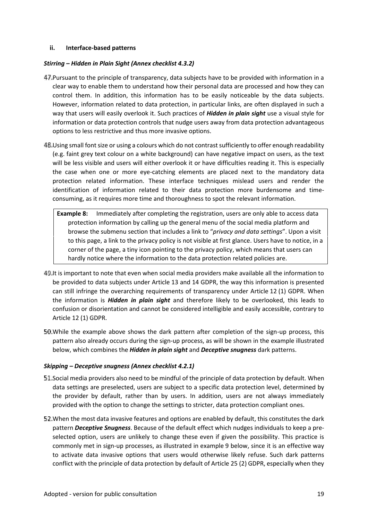#### **ii. Interface-based patterns**

#### *Stirring – Hidden in Plain Sight (Annex checklist 4.3.2)*

- 47. Pursuant to the principle of transparency, data subjects have to be provided with information in a clear way to enable them to understand how their personal data are processed and how they can control them. In addition, this information has to be easily noticeable by the data subjects. However, information related to data protection, in particular links, are often displayed in such a way that users will easily overlook it. Such practices of *Hidden in plain sight* use a visual style for information or data protection controls that nudge users away from data protection advantageous options to less restrictive and thus more invasive options.
- 48. Using small font size or using a colours which do not contrast sufficiently to offer enough readability (e.g. faint grey text colour on a white background) can have negative impact on users, as the text will be less visible and users will either overlook it or have difficulties reading it. This is especially the case when one or more eye-catching elements are placed next to the mandatory data protection related information. These interface techniques mislead users and render the identification of information related to their data protection more burdensome and time consuming, as it requires more time and thoroughness to spot the relevant information.
	- **Example 8:** Immediately after completing the registration, users are only able to access data protection information by calling up the general menu of the social media platform and browse the submenu section that includes a link to "*privacy and data settings*". Upon a visit to this page, a link to the privacy policy is not visible at first glance. Users have to notice, in a corner of the page, a tiny icon pointing to the privacy policy, which means that users can hardly notice where the information to the data protection related policies are.
- 49. It is important to note that even when social media providers make available all the information to be provided to data subjects under Article 13 and 14 GDPR, the way this information is presented can still infringe the overarching requirements of transparency under Article 12 (1) GDPR. When the information is *Hidden in plain sight* and therefore likely to be overlooked, this leads to confusion or disorientation and cannot be considered intelligible and easily accessible, contrary to Article 12 (1) GDPR.
- While the example above shows the dark pattern after completion of the sign-up process, this pattern also already occurs during the sign-up process, as will be shown in the example illustrated below, which combines the *Hidden in plain sight* and *Deceptive snugness* dark patterns.

#### *Skipping – Deceptive snugness (Annex checklist 4.2.1)*

- 51. Social media providers also need to be mindful of the principle of data protection by default. When data settings are preselected, users are subject to a specific data protection level, determined by the provider by default, rather than by users. In addition, users are not always immediately provided with the option to change the settings to stricter, data protection compliant ones.
- When the most data invasive features and options are enabled by default, this constitutes the dark pattern *Deceptive Snugness*. Because of the default effect which nudges individuals to keep a pre selected option, users are unlikely to change these even if given the possibility. This practice is commonly met in sign-up processes, as illustrated in example 9 below, since it is an effective way to activate data invasive options that users would otherwise likely refuse. Such dark patterns conflict with the principle of data protection by default of Article 25 (2) GDPR, especially when they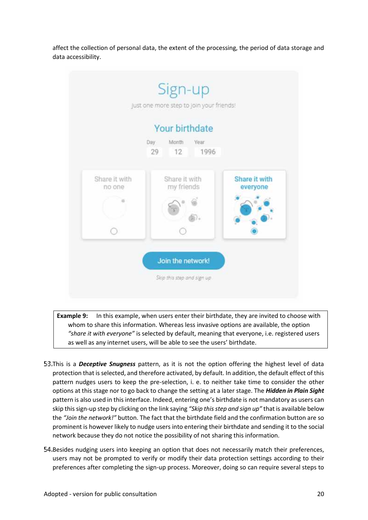affect the collection of personal data, the extent of the processing, the period of data storage and data accessibility.

|                         | Your birthdate<br>Month<br>Year<br>Day |                           |
|-------------------------|----------------------------------------|---------------------------|
|                         | 12<br>1996<br>29                       |                           |
| Share it with<br>no one | Share it with<br>my friends            | Share it with<br>everyone |
|                         |                                        |                           |
|                         |                                        |                           |

**Example 9:** In this example, when users enter their birthdate, they are invited to choose with whom to share this information. Whereas less invasive options are available, the option *"share it with everyone"* is selected by default, meaning that everyone, i.e. registered users as well as any internet users, will be able to see the users' birthdate.

- 53. This is a *Deceptive Snugness* pattern, as it is not the option offering the highest level of data protection that is selected, and therefore activated, by default. In addition, the default effect of this pattern nudges users to keep the pre-selection, i. e. to neither take time to consider the other options at this stage nor to go back to change the setting at a later stage. The *Hidden in Plain Sight* pattern is also used in this interface. Indeed, entering one's birthdate is not mandatory as users can skip this sign-up step by clicking on the link saying *"Skip this step and sign up"* that is available below the *"Join the network!"* button. The fact that the birthdate field and the confirmation button are so prominent is however likely to nudge users into entering their birthdate and sending it to the social network because they do not notice the possibility of not sharing this information.
- Besides nudging users into keeping an option that does not necessarily match their preferences, users may not be prompted to verify or modify their data protection settings according to their preferences after completing the sign-up process. Moreover, doing so can require several steps to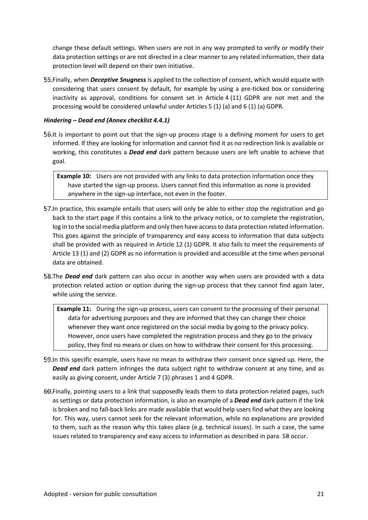change these default settings. When users are not in any way prompted to verify or modify their data protection settings or are not directed in a clear manner to any related information, their data protection level will depend on their own initiative.

Finally, when *Deceptive Snugness* is applied to the collection of consent, which would equate with considering that users consent by default, for example by using a pre-ticked box or considering inactivity as approval, conditions for consent set in Article 4 (11) GDPR are not met and the processing would be considered unlawful under Articles 5 (1) (a) and 6 (1) (a) GDPR.

#### *Hindering – Dead end (Annex checklist 4.4.1)*

**56.** It is important to point out that the sign-up process stage is a defining moment for users to get informed. If they are looking for information and cannot find it as no redirection link is available or working, this constitutes a *Dead end* dark pattern because users are left unable to achieve that goal.

**Example 10:** Users are not provided with any links to data protection information once they have started the sign-up process. Users cannot find this information as none is provided anywhere in the sign-up interface, not even in the footer.

- 57. In practice, this example entails that users will only be able to either stop the registration and go back to the start page if this contains a link to the privacy notice, or to complete the registration, log in to the social media platform and only then have access to data protection related information. This goes against the principle of transparency and easy access to information that data subjects shall be provided with as required in Article 12 (1) GDPR. It also fails to meet the requirements of Article 13 (1) and (2) GDPR as no information is provided and accessible at the time when personal data are obtained.
- 58. The **Dead end** dark pattern can also occur in another way when users are provided with a data protection related action or option during the sign-up process that they cannot find again later, while using the service.

**Example 11:** During the sign-up process, users can consent to the processing of their personal data for advertising purposes and they are informed that they can change their choice whenever they want once registered on the social media by going to the privacy policy. However, once users have completed the registration process and they go to the privacy policy, they find no means or clues on how to withdraw their consent for this processing.

- In this specific example, users have no mean to withdraw their consent once signed up. Here, the *Dead end* dark pattern infringes the data subject right to withdraw consent at any time, and as easily as giving consent, under Article 7 (3) phrases 1 and 4 GDPR.
- Finally, pointing users to a link that supposedly leads them to data protection related pages, such as settings or data protection information, is also an example of a *Dead end* dark pattern if the link is broken and no fall-back links are made available that would help users find what they are looking for. This way, users cannot seek for the relevant information, while no explanations are provided to them, such as the reason why this takes place (e.g. technical issues). In such a case, the same issues related to transparency and easy access to information as described in para. 58 occur.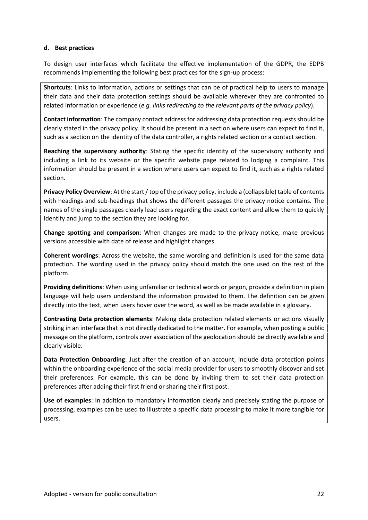#### **d. Best practices**

To design user interfaces which facilitate the effective implementation of the GDPR, the EDPB recommends implementing the following best practices for the sign-up process:

**Shortcuts**: Links to information, actions or settings that can be of practical help to users to manage their data and their data protection settings should be available wherever they are confronted to related information or experience (*e.g. links redirecting to the relevant parts of the privacy policy*).

**Contact information**: The company contact address for addressing data protection requests should be clearly stated in the privacy policy. It should be present in a section where users can expect to find it, such as a section on the identity of the data controller, a rights related section or a contact section.

**Reaching the supervisory authority**: Stating the specific identity of the supervisory authority and including a link to its website or the specific website page related to lodging a complaint. This information should be present in a section where users can expect to find it, such as a rights related section.

**Privacy Policy Overview**: At the start / top of the privacy policy, include a (collapsible) table of contents with headings and sub-headings that shows the different passages the privacy notice contains. The names of the single passages clearly lead users regarding the exact content and allow them to quickly identify and jump to the section they are looking for.

**Change spotting and comparison**: When changes are made to the privacy notice, make previous versions accessible with date of release and highlight changes.

**Coherent wordings**: Across the website, the same wording and definition is used for the same data protection. The wording used in the privacy policy should match the one used on the rest of the platform.

**Providing definitions**: When using unfamiliar or technical words or jargon, provide a definition in plain language will help users understand the information provided to them. The definition can be given directly into the text, when users hover over the word, as well as be made available in a glossary.

**Contrasting Data protection elements**: Making data protection related elements or actions visually striking in an interface that is not directly dedicated to the matter. For example, when posting a public message on the platform, controls over association of the geolocation should be directly available and clearly visible.

**Data Protection Onboarding**: Just after the creation of an account, include data protection points within the onboarding experience of the social media provider for users to smoothly discover and set their preferences. For example, this can be done by inviting them to set their data protection preferences after adding their first friend or sharing their first post.

**Use of examples**: In addition to mandatory information clearly and precisely stating the purpose of processing, examples can be used to illustrate a specific data processing to make it more tangible for users.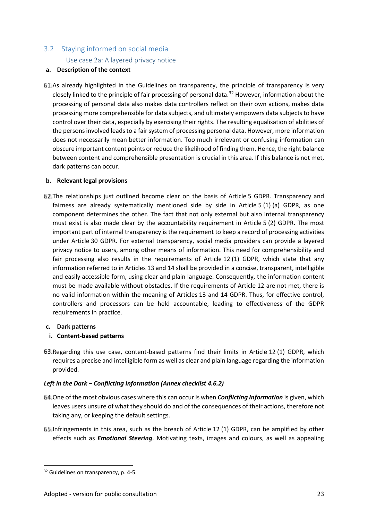# 3.2 Staying informed on social media Use case 2a: A layered privacy notice

# **a. Description of the context**

61.As already highlighted in the Guidelines on transparency, the principle of transparency is very closely linked to the principle of fair processing of personal data.<sup>32</sup> However, information about the processing of personal data also makes data controllers reflect on their own actions, makes data processing more comprehensible for data subjects, and ultimately empowers data subjects to have control over their data, especially by exercising their rights. The resulting equalisation of abilities of the persons involved leads to a fair system of processing personal data. However, more information does not necessarily mean better information. Too much irrelevant or confusing information can obscure important content points or reduce the likelihood of finding them. Hence, the right balance between content and comprehensible presentation is crucial in this area. If this balance is not met, dark patterns can occur.

# **b. Relevant legal provisions**

62. The relationships just outlined become clear on the basis of Article 5 GDPR. Transparency and fairness are already systematically mentioned side by side in Article 5 (1) (a) GDPR, as one component determines the other. The fact that not only external but also internal transparency must exist is also made clear by the accountability requirement in Article 5 (2) GDPR. The most important part of internal transparency is the requirement to keep a record of processing activities under Article 30 GDPR. For external transparency, social media providers can provide a layered privacy notice to users, among other means of information. This need for comprehensibility and fair processing also results in the requirements of Article 12 (1) GDPR, which state that any information referred to in Articles 13 and 14 shall be provided in a concise, transparent, intelligible and easily accessible form, using clear and plain language. Consequently, the information content must be made available without obstacles. If the requirements of Article 12 are not met, there is no valid information within the meaning of Articles 13 and 14 GDPR. Thus, for effective control, controllers and processors can be held accountable, leading to effectiveness of the GDPR requirements in practice.

# **c. Dark patterns**

# **i. Content-based patterns**

63. Regarding this use case, content-based patterns find their limits in Article 12 (1) GDPR, which requires a precise and intelligible form as well as clear and plain language regarding the information provided.

# *Left in the Dark – Conflicting Information (Annex checklist 4.6.2)*

- 64. One of the most obvious cases where this can occur is when **Conflicting Information** is given, which leaves users unsure of what they should do and of the consequences of their actions, therefore not taking any, or keeping the default settings.
- Infringements in this area, such as the breach of Article 12 (1) GDPR, can be amplified by other effects such as *Emotional Steering*. Motivating texts, images and colours, as well as appealing

<sup>&</sup>lt;sup>32</sup> Guidelines on transparency, p. 4-5.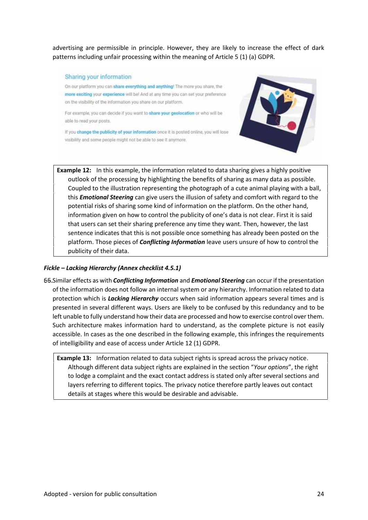advertising are permissible in principle. However, they are likely to increase the effect of dark patterns including unfair processing within the meaning of Article 5 (1) (a) GDPR.

#### Sharing your information

On our platform you can share everything and anything! The more you share, the more exciting your experience will be! And at any time you can set your preference on the visibility of the information you share on our platform.

For example, you can decide if you want to share your geolocation or who will be able to read your posts.

If you change the publicity of your information once it is posted online, you will lose visibility and some people might not be able to see it anymore.



**Example 12:** In this example, the information related to data sharing gives a highly positive outlook of the processing by highlighting the benefits of sharing as many data as possible. Coupled to the illustration representing the photograph of a cute animal playing with a ball, this *Emotional Steering* can give users the illusion of safety and comfort with regard to the potential risks of sharing some kind of information on the platform. On the other hand, information given on how to control the publicity of one's data is not clear. First it is said that users can set their sharing preference any time they want. Then, however, the last sentence indicates that this is not possible once something has already been posted on the platform. Those pieces of *Conflicting Information* leave users unsure of how to control the publicity of their data.

#### *Fickle – Lacking Hierarchy (Annex checklist 4.5.1)*

Similar effects as with *Conflicting Information* and *Emotional Steering* can occur if the presentation of the information does not follow an internal system or any hierarchy. Information related to data protection which is *Lacking Hierarchy* occurs when said information appears several times and is presented in several different ways. Users are likely to be confused by this redundancy and to be left unable to fully understand how their data are processed and how to exercise control over them. Such architecture makes information hard to understand, as the complete picture is not easily accessible. In cases as the one described in the following example, this infringes the requirements of intelligibility and ease of access under Article 12 (1) GDPR.

**Example 13:** Information related to data subject rights is spread across the privacy notice. Although different data subject rights are explained in the section "*Your options*", the right to lodge a complaint and the exact contact address is stated only after several sections and layers referring to different topics. The privacy notice therefore partly leaves out contact details at stages where this would be desirable and advisable.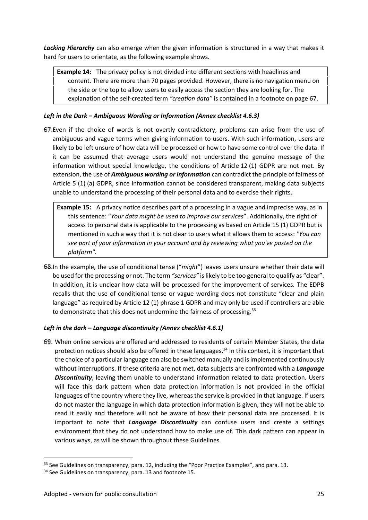*Lacking Hierarchy* can also emerge when the given information is structured in a way that makes it hard for users to orientate, as the following example shows.

**Example 14:** The privacy policy is not divided into different sections with headlines and content. There are more than 70 pages provided. However, there is no navigation menu on the side or the top to allow users to easily access the section they are looking for. The explanation of the self-created term *"creation data"* is contained in a footnote on page 67.

# *Left in the Dark – Ambiguous Wording or Information (Annex checklist 4.6.3)*

- 67. Even if the choice of words is not overtly contradictory, problems can arise from the use of ambiguous and vague terms when giving information to users. With such information, users are likely to be left unsure of how data will be processed or how to have some control over the data. If it can be assumed that average users would not understand the genuine message of the information without special knowledge, the conditions of Article 12 (1) GDPR are not met. By extension, the use of *Ambiguous wording or information* can contradict the principle of fairness of Article 5 (1) (a) GDPR, since information cannot be considered transparent, making data subjects unable to understand the processing of their personal data and to exercise their rights.
	- **Example 15:** A privacy notice describes part of a processing in a vague and imprecise way, as in this sentence: "*Your data might be used to improve our services*". Additionally, the right of access to personal data is applicable to the processing as based on Article 15 (1) GDPR but is mentioned in such a way that it is not clear to users what it allows them to access: *"You can see part of your information in your account and by reviewing what you've posted on the platform".*
- In the example, the use of conditional tense ("*might*") leaves users unsure whether their data will be used for the processing or not. The term *"services"* is likely to be too general to qualify as "clear". In addition, it is unclear how data will be processed for the improvement of services. The EDPB recalls that the use of conditional tense or vague wording does not constitute "clear and plain language" as required by Article 12 (1) phrase 1 GDPR and may only be used if controllers are able to demonstrate that this does not undermine the fairness of processing.<sup>33</sup>

# *Left in the dark – Language discontinuity (Annex checklist 4.6.1)*

When online services are offered and addressed to residents of certain Member States, the data protection notices should also be offered in these languages.<sup>34</sup> In this context, it is important that the choice of a particular language can also be switched manually and is implemented continuously without interruptions. If these criteria are not met, data subjects are confronted with a *Language Discontinuity*, leaving them unable to understand information related to data protection. Users will face this dark pattern when data protection information is not provided in the official languages of the country where they live, whereas the service is provided in that language. If users do not master the language in which data protection information is given, they will not be able to read it easily and therefore will not be aware of how their personal data are processed. It is important to note that *Language Discontinuity* can confuse users and create a settings environment that they do not understand how to make use of. This dark pattern can appear in various ways, as will be shown throughout these Guidelines.

<sup>&</sup>lt;sup>33</sup> See Guidelines on transparency, para. 12, including the "Poor Practice Examples", and para. 13.

<sup>&</sup>lt;sup>34</sup> See Guidelines on transparency, para. 13 and footnote 15.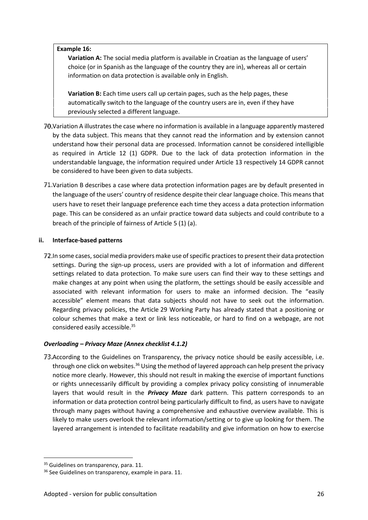#### **Example 16:**

**Variation A:** The social media platform is available in Croatian as the language of users' choice (or in Spanish as the language of the country they are in), whereas all or certain information on data protection is available only in English.

**Variation B:** Each time users call up certain pages, such as the help pages, these automatically switch to the language of the country users are in, even if they have previously selected a different language.

- Variation A illustrates the case where no information is available in a language apparently mastered by the data subject. This means that they cannot read the information and by extension cannot understand how their personal data are processed. Information cannot be considered intelligible as required in Article 12 (1) GDPR. Due to the lack of data protection information in the understandable language, the information required under Article 13 respectively 14 GDPR cannot be considered to have been given to data subjects.
- Variation B describes a case where data protection information pages are by default presented in the language of the users' country of residence despite their clear language choice. This means that users have to reset their language preference each time they access a data protection information page. This can be considered as an unfair practice toward data subjects and could contribute to a breach of the principle of fairness of Article 5 (1) (a).

# **ii. Interface-based patterns**

72. In some cases, social media providers make use of specific practices to present their data protection settings. During the sign-up process, users are provided with a lot of information and different settings related to data protection. To make sure users can find their way to these settings and make changes at any point when using the platform, the settings should be easily accessible and associated with relevant information for users to make an informed decision. The "easily accessible" element means that data subjects should not have to seek out the information. Regarding privacy policies, the Article 29 Working Party has already stated that a positioning or colour schemes that make a text or link less noticeable, or hard to find on a webpage, are not considered easily accessible.<sup>35</sup>

# *Overloading – Privacy Maze (Annex checklist 4.1.2)*

73. According to the Guidelines on Transparency, the privacy notice should be easily accessible, i.e. through one click on websites.<sup>36</sup> Using the method of layered approach can help present the privacy notice more clearly. However, this should not result in making the exercise of important functions or rights unnecessarily difficult by providing a complex privacy policy consisting of innumerable layers that would result in the *Privacy Maze* dark pattern. This pattern corresponds to an information or data protection control being particularly difficult to find, as users have to navigate through many pages without having a comprehensive and exhaustive overview available. This is likely to make users overlook the relevant information/setting or to give up looking for them. The layered arrangement is intended to facilitate readability and give information on how to exercise

<sup>&</sup>lt;sup>35</sup> Guidelines on transparency, para. 11.

<sup>&</sup>lt;sup>36</sup> See Guidelines on transparency, example in para. 11.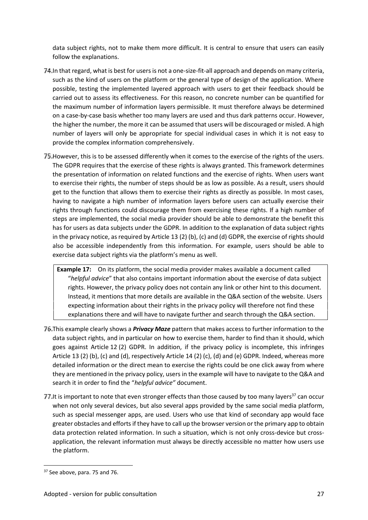data subject rights, not to make them more difficult. It is central to ensure that users can easily follow the explanations.

- In that regard, what is best for users is not a one-size-fit-all approach and depends on many criteria, such as the kind of users on the platform or the general type of design of the application. Where possible, testing the implemented layered approach with users to get their feedback should be carried out to assess its effectiveness. For this reason, no concrete number can be quantified for the maximum number of information layers permissible. It must therefore always be determined on a case-by-case basis whether too many layers are used and thus dark patterns occur. However, the higher the number, the more it can be assumed that users will be discouraged or misled. A high number of layers will only be appropriate for special individual cases in which it is not easy to provide the complex information comprehensively.
- 75. However, this is to be assessed differently when it comes to the exercise of the rights of the users. The GDPR requires that the exercise of these rights is always granted. This framework determines the presentation of information on related functions and the exercise of rights. When users want to exercise their rights, the number of steps should be as low as possible. As a result, users should get to the function that allows them to exercise their rights as directly as possible. In most cases, having to navigate a high number of information layers before users can actually exercise their rights through functions could discourage them from exercising these rights. If a high number of steps are implemented, the social media provider should be able to demonstrate the benefit this has for users as data subjects under the GDPR. In addition to the explanation of data subject rights in the privacy notice, as required by Article 13 (2) (b), (c) and (d) GDPR, the exercise of rights should also be accessible independently from this information. For example, users should be able to exercise data subject rights via the platform's menu as well.

**Example 17:** On its platform, the social media provider makes available a document called "*helpful advice*" that also contains important information about the exercise of data subject rights. However, the privacy policy does not contain any link or other hint to this document. Instead, it mentions that more details are available in the Q&A section of the website. Users expecting information about their rights in the privacy policy will therefore not find these explanations there and will have to navigate further and search through the Q&A section.

- This example clearly shows a *Privacy Maze* pattern that makes access to further information to the data subject rights, and in particular on how to exercise them, harder to find than it should, which goes against Article 12 (2) GDPR. In addition, if the privacy policy is incomplete, this infringes Article 13 (2) (b), (c) and (d), respectively Article 14 (2) (c), (d) and (e) GDPR. Indeed, whereas more detailed information or the direct mean to exercise the rights could be one click away from where they are mentioned in the privacy policy, users in the example will have to navigate to the Q&A and search it in order to find the "*helpful advice"* document.
- 77. It is important to note that even stronger effects than those caused by too many layers<sup>37</sup> can occur when not only several devices, but also several apps provided by the same social media platform, such as special messenger apps, are used. Users who use that kind of secondary app would face greater obstacles and efforts if they have to call up the browser version or the primary app to obtain data protection related information. In such a situation, which is not only cross-device but cross application, the relevant information must always be directly accessible no matter how users use the platform.

<sup>&</sup>lt;sup>37</sup> See above, para. 75 and 76.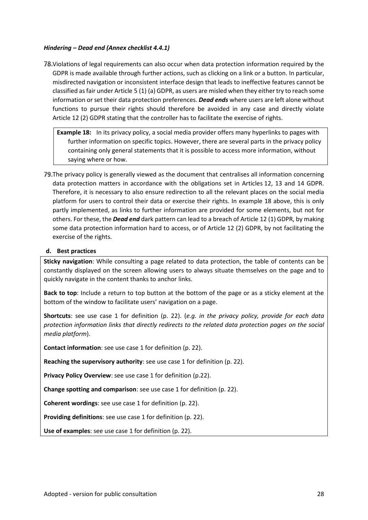#### *Hindering – Dead end (Annex checklist 4.4.1)*

Violations of legal requirements can also occur when data protection information required by the GDPR is made available through further actions, such as clicking on a link or a button. In particular, misdirected navigation or inconsistent interface design that leads to ineffective features cannot be classified as fair under Article 5 (1) (a) GDPR, as users are misled when they either try to reach some information or set their data protection preferences. *Dead ends* where users are left alone without functions to pursue their rights should therefore be avoided in any case and directly violate Article 12 (2) GDPR stating that the controller has to facilitate the exercise of rights.

**Example 18:** In its privacy policy, a social media provider offers many hyperlinks to pages with further information on specific topics. However, there are several parts in the privacy policy containing only general statements that it is possible to access more information, without saying where or how.

The privacy policy is generally viewed as the document that centralises all information concerning data protection matters in accordance with the obligations set in Articles 12, 13 and 14 GDPR. Therefore, it is necessary to also ensure redirection to all the relevant places on the social media platform for users to control their data or exercise their rights. In example 18 above, this is only partly implemented, as links to further information are provided for some elements, but not for others. For these, the *Dead end* dark pattern can lead to a breach of Article 12 (1) GDPR, by making some data protection information hard to access, or of Article 12 (2) GDPR, by not facilitating the exercise of the rights.

#### **d. Best practices**

**Sticky navigation**: While consulting a page related to data protection, the table of contents can be constantly displayed on the screen allowing users to always situate themselves on the page and to quickly navigate in the content thanks to anchor links.

**Back to top**: Include a return to top button at the bottom of the page or as a sticky element at the bottom of the window to facilitate users' navigation on a page.

**Shortcuts**: see use case 1 for definition (p. 22). (*e.g. in the privacy policy, provide for each data protection information links that directly redirects to the related data protection pages on the social media platform*).

**Contact information**: see use case 1 for definition (p. 22).

**Reaching the supervisory authority**: see use case 1 for definition (p. 22).

**Privacy Policy Overview**: see use case 1 for definition (p.22).

**Change spotting and comparison**: see use case 1 for definition (p. 22).

**Coherent wordings**: see use case 1 for definition (p. 22).

**Providing definitions**: see use case 1 for definition (p. 22).

**Use of examples**: see use case 1 for definition (p. 22).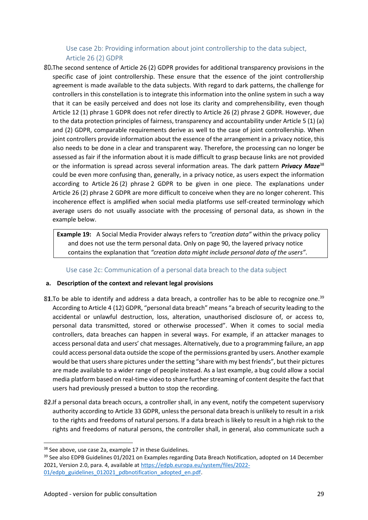Use case 2b: Providing information about joint controllership to the data subject, Article 26 (2) GDPR

The second sentence of Article 26 (2) GDPR provides for additional transparency provisions in the specific case of joint controllership. These ensure that the essence of the joint controllership agreement is made available to the data subjects. With regard to dark patterns, the challenge for controllers in this constellation is to integrate this information into the online system in such a way that it can be easily perceived and does not lose its clarity and comprehensibility, even though Article 12 (1) phrase 1 GDPR does not refer directly to Article 26 (2) phrase 2 GDPR. However, due to the data protection principles of fairness, transparency and accountability under Article 5 (1) (a) and (2) GDPR, comparable requirements derive as well to the case of joint controllership. When joint controllers provide information about the essence of the arrangement in a privacy notice, this also needs to be done in a clear and transparent way. Therefore, the processing can no longer be assessed as fair if the information about it is made difficult to grasp because links are not provided or the information is spread across several information areas. The dark pattern *Privacy Maze*<sup>38</sup> could be even more confusing than, generally, in a privacy notice, as users expect the information according to Article 26 (2) phrase 2 GDPR to be given in one piece. The explanations under Article 26 (2) phrase 2 GDPR are more difficult to conceive when they are no longer coherent. This incoherence effect is amplified when social media platforms use self-created terminology which average users do not usually associate with the processing of personal data, as shown in the example below.

**Example 19:** A Social Media Provider always refers to *"creation data"* within the privacy policy and does not use the term personal data. Only on page 90, the layered privacy notice contains the explanation that *"creation data might include personal data of the users"*.

# Use case 2c: Communication of a personal data breach to the data subject

# **a. Description of the context and relevant legal provisions**

- **81.** To be able to identify and address a data breach, a controller has to be able to recognize one.<sup>39</sup> According to Article 4 (12) GDPR, "personal data breach" means "a breach of security leading to the accidental or unlawful destruction, loss, alteration, unauthorised disclosure of, or access to, personal data transmitted, stored or otherwise processed". When it comes to social media controllers, data breaches can happen in several ways. For example, if an attacker manages to access personal data and users' chat messages. Alternatively, due to a programming failure, an app could access personal data outside the scope of the permissions granted by users. Another example would be that users share pictures under the setting "share with my best friends", but their pictures are made available to a wider range of people instead. As a last example, a bug could allow a social media platform based on real-time video to share further streaming of content despite the fact that users had previously pressed a button to stop the recording.
- If a personal data breach occurs, a controller shall, in any event, notify the competent supervisory authority according to Article 33 GDPR, unless the personal data breach is unlikely to result in a risk to the rights and freedoms of natural persons. If a data breach is likely to result in a high risk to the rights and freedoms of natural persons, the controller shall, in general, also communicate such a

<sup>&</sup>lt;sup>38</sup> See above, use case 2a, example 17 in these Guidelines.

<sup>&</sup>lt;sup>39</sup> See also EDPB Guidelines 01/2021 on Examples regarding Data Breach Notification, adopted on 14 December 2021, Version 2.0, para. 4, available at https://edpb.europa.eu/system/files/2022- 01/edpb\_guidelines\_012021\_pdbnotification\_adopted\_en.pdf.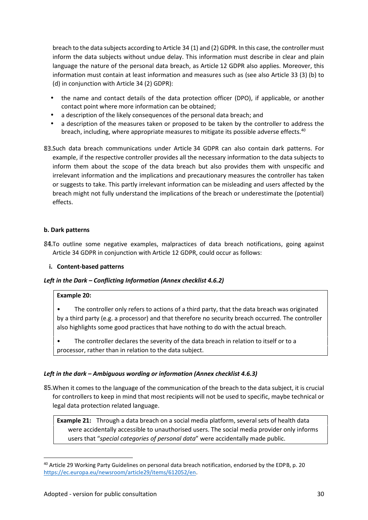breach to the data subjects according to Article 34 (1) and (2) GDPR. In this case, the controller must inform the data subjects without undue delay. This information must describe in clear and plain language the nature of the personal data breach, as Article 12 GDPR also applies. Moreover, this information must contain at least information and measures such as (see also Article 33 (3) (b) to (d) in conjunction with Article 34 (2) GDPR):

- the name and contact details of the data protection officer (DPO), if applicable, or another contact point where more information can be obtained;
- a description of the likely consequences of the personal data breach; and
- a description of the measures taken or proposed to be taken by the controller to address the breach, including, where appropriate measures to mitigate its possible adverse effects.<sup>40</sup>
- 83. Such data breach communications under Article 34 GDPR can also contain dark patterns. For example, if the respective controller provides all the necessary information to the data subjects to inform them about the scope of the data breach but also provides them with unspecific and irrelevant information and the implications and precautionary measures the controller has taken or suggests to take. This partly irrelevant information can be misleading and users affected by the breach might not fully understand the implications of the breach or underestimate the (potential) effects.

# **b. Dark patterns**

84. To outline some negative examples, malpractices of data breach notifications, going against Article 34 GDPR in conjunction with Article 12 GDPR, could occur as follows:

# **i. Content-based patterns**

# *Left in the Dark – Conflicting Information (Annex checklist 4.6.2)*

#### **Example 20:**

The controller only refers to actions of a third party, that the data breach was originated by a third party (e.g. a processor) and that therefore no security breach occurred. The controller also highlights some good practices that have nothing to do with the actual breach.

The controller declares the severity of the data breach in relation to itself or to a processor, rather than in relation to the data subject.

# *Left in the dark – Ambiguous wording or information (Annex checklist 4.6.3)*

When it comes to the language of the communication of the breach to the data subject, it is crucial for controllers to keep in mind that most recipients will not be used to specific, maybe technical or legal data protection related language.

**Example 21:** Through a data breach on a social media platform, several sets of health data were accidentally accessible to unauthorised users. The social media provider only informs users that "*special categories of personal data*" were accidentally made public.

<sup>&</sup>lt;sup>40</sup> Article 29 Working Party Guidelines on personal data breach notification, endorsed by the EDPB, p. 20 https://ec.europa.eu/newsroom/article29/items/612052/en.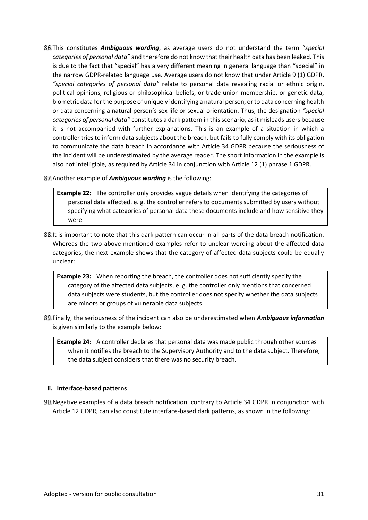- This constitutes *Ambiguous wording*, as average users do not understand the term "*special categories of personal data"* and therefore do not know that their health data has been leaked. This is due to the fact that "special" has a very different meaning in general language than "special" in the narrow GDPR-related language use. Average users do not know that under Article 9 (1) GDPR, *"special categories of personal data"* relate to personal data revealing racial or ethnic origin, political opinions, religious or philosophical beliefs, or trade union membership, or genetic data, biometric data for the purpose of uniquely identifying a natural person, or to data concerning health or data concerning a natural person's sex life or sexual orientation. Thus, the designation *"special categories of personal data"* constitutes a dark pattern in this scenario, as it misleads users because it is not accompanied with further explanations. This is an example of a situation in which a controller tries to inform data subjects about the breach, but fails to fully comply with its obligation to communicate the data breach in accordance with Article 34 GDPR because the seriousness of the incident will be underestimated by the average reader. The short information in the example is also not intelligible, as required by Article 34 in conjunction with Article 12 (1) phrase 1 GDPR.
- Another example of *Ambiguous wording* is the following:

**Example 22:** The controller only provides vague details when identifying the categories of personal data affected, e. g. the controller refers to documents submitted by users without specifying what categories of personal data these documents include and how sensitive they were.

88.It is important to note that this dark pattern can occur in all parts of the data breach notification. Whereas the two above-mentioned examples refer to unclear wording about the affected data categories, the next example shows that the category of affected data subjects could be equally unclear:

**Example 23:** When reporting the breach, the controller does not sufficiently specify the category of the affected data subjects, e. g. the controller only mentions that concerned data subjects were students, but the controller does not specify whether the data subjects are minors or groups of vulnerable data subjects.

Finally, the seriousness of the incident can also be underestimated when *Ambiguous information* is given similarly to the example below:

**Example 24:** A controller declares that personal data was made public through other sources when it notifies the breach to the Supervisory Authority and to the data subject. Therefore, the data subject considers that there was no security breach.

#### **ii. Interface-based patterns**

Negative examples of a data breach notification, contrary to Article 34 GDPR in conjunction with Article 12 GDPR, can also constitute interface-based dark patterns, as shown in the following: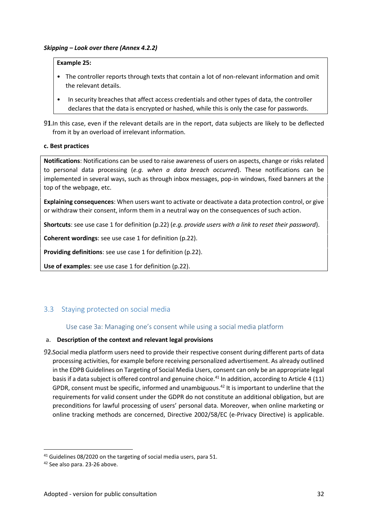#### **Example 25:**

- The controller reports through texts that contain a lot of non-relevant information and omit the relevant details.
- In security breaches that affect access credentials and other types of data, the controller declares that the data is encrypted or hashed, while this is only the case for passwords.

In this case, even if the relevant details are in the report, data subjects are likely to be deflected from it by an overload of irrelevant information.

#### **c. Best practices**

**Notifications**: Notifications can be used to raise awareness of users on aspects, change or risks related to personal data processing (*e.g. when a data breach occurred*). These notifications can be implemented in several ways, such as through inbox messages, pop-in windows, fixed banners at the top of the webpage, etc.

**Explaining consequences**: When users want to activate or deactivate a data protection control, or give or withdraw their consent, inform them in a neutral way on the consequences of such action.

**Shortcuts**: see use case 1 for definition (p.22) (*e.g. provide users with a link to reset their password*).

**Coherent wordings**: see use case 1 for definition (p.22).

**Providing definitions**: see use case 1 for definition (p.22).

**Use of examples**: see use case 1 for definition (p.22).

# 3.3 Staying protected on social media

#### Use case 3a: Managing one's consent while using a social media platform

#### a. **Description of the context and relevant legal provisions**

92. Social media platform users need to provide their respective consent during different parts of data processing activities, for example before receiving personalized advertisement. As already outlined in the EDPB Guidelines on Targeting of Social Media Users, consent can only be an appropriate legal basis if a data subject is offered control and genuine choice.<sup>41</sup> In addition, according to Article 4 (11) GPDR, consent must be specific, informed and unambiguous.<sup>42</sup> It is important to underline that the requirements for valid consent under the GDPR do not constitute an additional obligation, but are preconditions for lawful processing of users' personal data. Moreover, when online marketing or online tracking methods are concerned, Directive 2002/58/EC (e-Privacy Directive) is applicable.

<sup>&</sup>lt;sup>41</sup> Guidelines 08/2020 on the targeting of social media users, para 51.

<sup>42</sup> See also para. 23-26 above.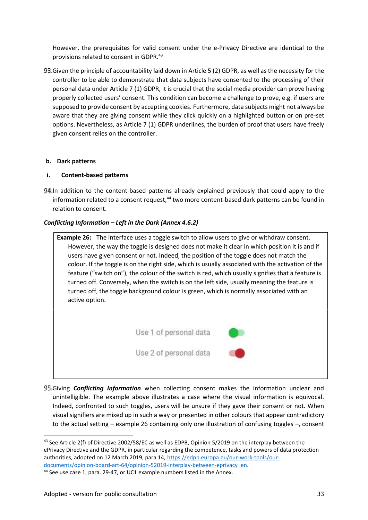However, the prerequisites for valid consent under the e-Privacy Directive are identical to the provisions related to consent in GDPR.<sup>43</sup>

Given the principle of accountability laid down in Article 5 (2) GDPR, as well as the necessity for the controller to be able to demonstrate that data subjects have consented to the processing of their personal data under Article 7 (1) GDPR, it is crucial that the social media provider can prove having properly collected users' consent. This condition can become a challenge to prove, e.g. if users are supposed to provide consent by accepting cookies. Furthermore, data subjects might not always be aware that they are giving consent while they click quickly on a highlighted button or on pre-set options. Nevertheless, as Article 7 (1) GDPR underlines, the burden of proof that users have freely given consent relies on the controller.

#### **b. Dark patterns**

#### **i. Content-based patterns**

94. In addition to the content-based patterns already explained previously that could apply to the information related to a consent request.<sup>44</sup> two more content-based dark patterns can be found in relation to consent.

# *Conflicting Information – Left in the Dark (Annex 4.6.2)*



Giving *Conflicting Information* when collecting consent makes the information unclear and unintelligible. The example above illustrates a case where the visual information is equivocal. Indeed, confronted to such toggles, users will be unsure if they gave their consent or not. When visual signifiers are mixed up in such a way or presented in other colours that appear contradictory to the actual setting – example 26 containing only one illustration of confusing toggles –, consent

<sup>&</sup>lt;sup>43</sup> See Article 2(f) of Directive 2002/58/EC as well as EDPB, Opinion 5/2019 on the interplay between the ePrivacy Directive and the GDPR, in particular regarding the competence, tasks and powers of data protection authorities, adopted on 12 March 2019, para 14, https://edpb.europa.eu/our-work-tools/our documents/opinion-board-art-64/opinion-52019-interplay-between-eprivacy\_en.

<sup>&</sup>lt;sup>44</sup> See use case 1, para. 29-47, or UC1 example numbers listed in the Annex.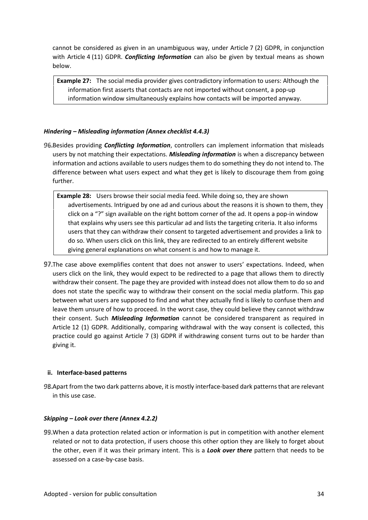cannot be considered as given in an unambiguous way, under Article 7 (2) GDPR, in conjunction with Article 4 (11) GDPR. *Conflicting Information* can also be given by textual means as shown below.

**Example 27:** The social media provider gives contradictory information to users: Although the information first asserts that contacts are not imported without consent, a pop-up information window simultaneously explains how contacts will be imported anyway.

# *Hindering – Misleading information (Annex checklist 4.4.3)*

- Besides providing *Conflicting Information*, controllers can implement information that misleads users by not matching their expectations. *Misleading information* is when a discrepancy between information and actions available to users nudges them to do something they do not intend to. The difference between what users expect and what they get is likely to discourage them from going further.
	- **Example 28:** Users browse their social media feed. While doing so, they are shown advertisements. Intrigued by one ad and curious about the reasons it is shown to them, they click on a "?" sign available on the right bottom corner of the ad. It opens a pop-in window that explains why users see this particular ad and lists the targeting criteria. It also informs users that they can withdraw their consent to targeted advertisement and provides a link to do so. When users click on this link, they are redirected to an entirely different website giving general explanations on what consent is and how to manage it.
- 97. The case above exemplifies content that does not answer to users' expectations. Indeed, when users click on the link, they would expect to be redirected to a page that allows them to directly withdraw their consent. The page they are provided with instead does not allow them to do so and does not state the specific way to withdraw their consent on the social media platform. This gap between what users are supposed to find and what they actually find is likely to confuse them and leave them unsure of how to proceed. In the worst case, they could believe they cannot withdraw their consent. Such *Misleading Information* cannot be considered transparent as required in Article 12 (1) GDPR. Additionally, comparing withdrawal with the way consent is collected, this practice could go against Article 7 (3) GDPR if withdrawing consent turns out to be harder than giving it.

# **ii. Interface-based patterns**

98. Apart from the two dark patterns above, it is mostly interface-based dark patterns that are relevant in this use case.

# *Skipping – Look over there (Annex 4.2.2)*

When a data protection related action or information is put in competition with another element related or not to data protection, if users choose this other option they are likely to forget about the other, even if it was their primary intent. This is a *Look over there* pattern that needs to be assessed on a case-by-case basis.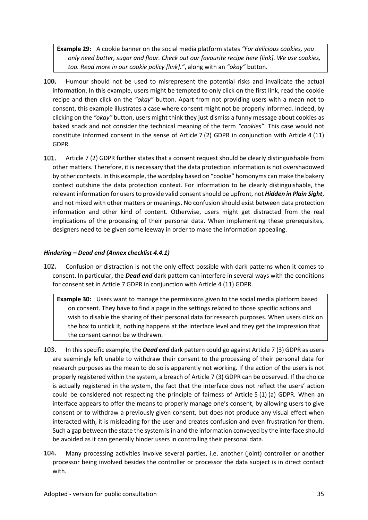**Example 29:** A cookie banner on the social media platform states *"For delicious cookies, you only need butter, sugar and flour. Check out our favourite recipe here [link]. We use cookies, too. Read more in our cookie policy [link]."*, along with an *"okay"* button.

- 100. Humour should not be used to misrepresent the potential risks and invalidate the actual information. In this example, users might be tempted to only click on the first link, read the cookie recipe and then click on the *"okay"* button. Apart from not providing users with a mean not to consent, this example illustrates a case where consent might not be properly informed. Indeed, by clicking on the *"okay"* button, users might think they just dismiss a funny message about cookies as baked snack and not consider the technical meaning of the term *"cookies"*. This case would not constitute informed consent in the sense of Article 7 (2) GDPR in conjunction with Article 4 (11) GDPR.
- 101. Article 7 (2) GDPR further states that a consent request should be clearly distinguishable from other matters. Therefore, it is necessary that the data protection information is not overshadowed by other contexts. In this example, the wordplay based on "cookie" homonyms can make the bakery context outshine the data protection context. For information to be clearly distinguishable, the relevant information for users to provide valid consent should be upfront, not *Hidden in Plain Sight*, and not mixed with other matters or meanings. No confusion should exist between data protection information and other kind of content. Otherwise, users might get distracted from the real implications of the processing of their personal data. When implementing these prerequisites, designers need to be given some leeway in order to make the information appealing.

# *Hindering – Dead end (Annex checklist 4.4.1)*

102. Confusion or distraction is not the only effect possible with dark patterns when it comes to consent. In particular, the *Dead end* dark pattern can interfere in several ways with the conditions for consent set in Article 7 GDPR in conjunction with Article 4 (11) GDPR.

**Example 30:** Users want to manage the permissions given to the social media platform based on consent. They have to find a page in the settings related to those specific actions and wish to disable the sharing of their personal data for research purposes. When users click on the box to untick it, nothing happens at the interface level and they get the impression that the consent cannot be withdrawn.

- 103. In this specific example, the *Dead end* dark pattern could go against Article 7 (3) GDPR as users are seemingly left unable to withdraw their consent to the processing of their personal data for research purposes as the mean to do so is apparently not working. If the action of the users is not properly registered within the system, a breach of Article 7 (3) GDPR can be observed. If the choice is actually registered in the system, the fact that the interface does not reflect the users' action could be considered not respecting the principle of fairness of Article 5 (1) (a) GDPR. When an interface appears to offer the means to properly manage one's consent, by allowing users to give consent or to withdraw a previously given consent, but does not produce any visual effect when interacted with, it is misleading for the user and creates confusion and even frustration for them. Such a gap between the state the system is in and the information conveyed by the interface should be avoided as it can generally hinder users in controlling their personal data.
- 104. Many processing activities involve several parties, i.e. another (joint) controller or another processor being involved besides the controller or processor the data subject is in direct contact with.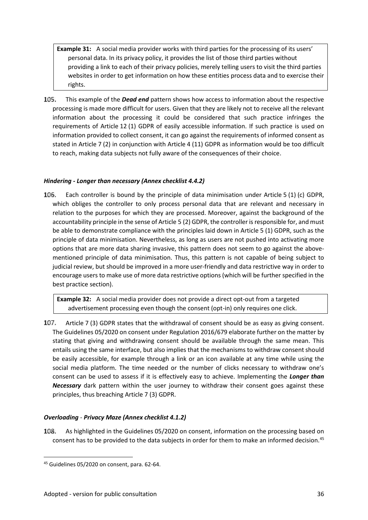**Example 31:** A social media provider works with third parties for the processing of its users' personal data. In its privacy policy, it provides the list of those third parties without providing a link to each of their privacy policies, merely telling users to visit the third parties websites in order to get information on how these entities process data and to exercise their rights.

105. This example of the *Dead end* pattern shows how access to information about the respective processing is made more difficult for users. Given that they are likely not to receive all the relevant information about the processing it could be considered that such practice infringes the requirements of Article 12 (1) GDPR of easily accessible information. If such practice is used on information provided to collect consent, it can go against the requirements of informed consent as stated in Article 7 (2) in conjunction with Article 4 (11) GDPR as information would be too difficult to reach, making data subjects not fully aware of the consequences of their choice.

# *Hindering - Longer than necessary (Annex checklist 4.4.2)*

106. Each controller is bound by the principle of data minimisation under Article 5 (1) (c) GDPR, which obliges the controller to only process personal data that are relevant and necessary in relation to the purposes for which they are processed. Moreover, against the background of the accountability principle in the sense of Article 5 (2) GDPR, the controller is responsible for, and must be able to demonstrate compliance with the principles laid down in Article 5 (1) GDPR, such as the principle of data minimisation. Nevertheless, as long as users are not pushed into activating more options that are more data sharing invasive, this pattern does not seem to go against the above mentioned principle of data minimisation. Thus, this pattern is not capable of being subject to judicial review, but should be improved in a more user-friendly and data restrictive way in order to encourage users to make use of more data restrictive options (which will be further specified in the best practice section).

**Example 32:** A social media provider does not provide a direct opt-out from a targeted advertisement processing even though the consent (opt-in) only requires one click.

107. Article 7 (3) GDPR states that the withdrawal of consent should be as easy as giving consent. The Guidelines 05/2020 on consent under Regulation 2016/679 elaborate further on the matter by stating that giving and withdrawing consent should be available through the same mean. This entails using the same interface, but also implies that the mechanisms to withdraw consent should be easily accessible, for example through a link or an icon available at any time while using the social media platform. The time needed or the number of clicks necessary to withdraw one's consent can be used to assess if it is effectively easy to achieve. Implementing the *Longer than Necessary* dark pattern within the user journey to withdraw their consent goes against these principles, thus breaching Article 7 (3) GDPR.

# *Overloading* - *Privacy Maze (Annex checklist 4.1.2)*

As highlighted in the Guidelines 05/2020 on consent, information on the processing based on 108. consent has to be provided to the data subjects in order for them to make an informed decision.<sup>45</sup>

<sup>45</sup> Guidelines 05/2020 on consent, para. 62-64.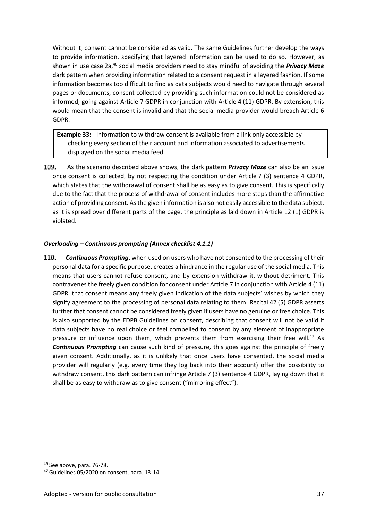Without it, consent cannot be considered as valid. The same Guidelines further develop the ways to provide information, specifying that layered information can be used to do so. However, as shown in use case 2a,<sup>46</sup> social media providers need to stay mindful of avoiding the *Privacy Maze* dark pattern when providing information related to a consent request in a layered fashion. If some information becomes too difficult to find as data subjects would need to navigate through several pages or documents, consent collected by providing such information could not be considered as informed, going against Article 7 GDPR in conjunction with Article 4 (11) GDPR. By extension, this would mean that the consent is invalid and that the social media provider would breach Article 6 GDPR.

**Example 33:** Information to withdraw consent is available from a link only accessible by checking every section of their account and information associated to advertisements displayed on the social media feed.

109. As the scenario described above shows, the dark pattern *Privacy Maze* can also be an issue once consent is collected, by not respecting the condition under Article 7 (3) sentence 4 GDPR, which states that the withdrawal of consent shall be as easy as to give consent. This is specifically due to the fact that the process of withdrawal of consent includes more steps than the affirmative action of providing consent. As the given information is also not easily accessible to the data subject, as it is spread over different parts of the page, the principle as laid down in Article 12 (1) GDPR is violated.

# *Overloading – Continuous prompting (Annex checklist 4.1.1)*

110. *Continuous Prompting*, when used on users who have not consented to the processing of their personal data for a specific purpose, creates a hindrance in the regular use of the social media. This means that users cannot refuse consent, and by extension withdraw it, without detriment. This contravenes the freely given condition for consent under Article 7 in conjunction with Article 4 (11) GDPR, that consent means any freely given indication of the data subjects' wishes by which they signify agreement to the processing of personal data relating to them. Recital 42 (5) GDPR asserts further that consent cannot be considered freely given if users have no genuine or free choice. This is also supported by the EDPB Guidelines on consent, describing that consent will not be valid if data subjects have no real choice or feel compelled to consent by any element of inappropriate pressure or influence upon them, which prevents them from exercising their free will.<sup>47</sup> As *Continuous Prompting* can cause such kind of pressure, this goes against the principle of freely given consent. Additionally, as it is unlikely that once users have consented, the social media provider will regularly (e.g. every time they log back into their account) offer the possibility to withdraw consent, this dark pattern can infringe Article 7 (3) sentence 4 GDPR, laying down that it shall be as easy to withdraw as to give consent ("mirroring effect").

<sup>46</sup> See above, para. 76-78.

<sup>&</sup>lt;sup>47</sup> Guidelines 05/2020 on consent, para. 13-14.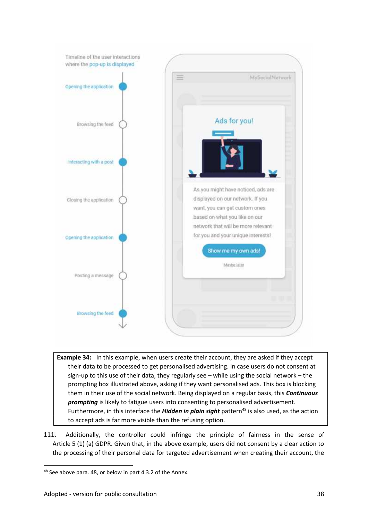

- **Example 34:** In this example, when users create their account, they are asked if they accept their data to be processed to get personalised advertising. In case users do not consent at sign-up to this use of their data, they regularly see – while using the social network – the prompting box illustrated above, asking if they want personalised ads. This box is blocking them in their use of the social network. Being displayed on a regular basis, this *Continuous prompting* is likely to fatigue users into consenting to personalised advertisement. Furthermore, in this interface the **Hidden in plain sight** pattern<sup>48</sup> is also used, as the action to accept ads is far more visible than the refusing option.
- 111. Additionally, the controller could infringe the principle of fairness in the sense of Article 5 (1) (a) GDPR. Given that, in the above example, users did not consent by a clear action to the processing of their personal data for targeted advertisement when creating their account, the

<sup>48</sup> See above para. 48, or below in part 4.3.2 of the Annex.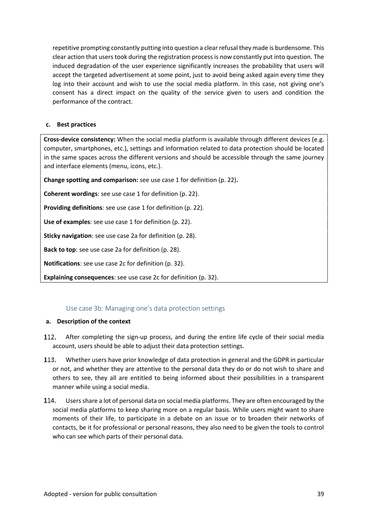repetitive prompting constantly putting into question a clear refusal they made is burdensome. This clear action that users took during the registration process is now constantly put into question. The induced degradation of the user experience significantly increases the probability that users will accept the targeted advertisement at some point, just to avoid being asked again every time they log into their account and wish to use the social media platform. In this case, not giving one's consent has a direct impact on the quality of the service given to users and condition the performance of the contract.

#### **c. Best practices**

**Cross-device consistency:** When the social media platform is available through different devices (e.g. computer, smartphones, etc.), settings and information related to data protection should be located in the same spaces across the different versions and should be accessible through the same journey and interface elements (menu, icons, etc.).

**Change spotting and comparison:** see use case 1 for definition (p. 22)**.**

**Coherent wordings**: see use case 1 for definition (p. 22).

**Providing definitions**: see use case 1 for definition (p. 22).

**Use of examples**: see use case 1 for definition (p. 22).

**Sticky navigation**: see use case 2a for definition (p. 28).

**Back to top**: see use case 2a for definition (p. 28).

**Notifications**: see use case 2c for definition (p. 32).

**Explaining consequences**: see use case 2c for definition (p. 32).

# Use case 3b: Managing one's data protection settings

#### **a. Description of the context**

- 112. After completing the sign-up process, and during the entire life cycle of their social media account, users should be able to adjust their data protection settings.
- 113. Whether users have prior knowledge of data protection in general and the GDPR in particular or not, and whether they are attentive to the personal data they do or do not wish to share and others to see, they all are entitled to being informed about their possibilities in a transparent manner while using a social media.
- 114. Users share a lot of personal data on social media platforms. They are often encouraged by the social media platforms to keep sharing more on a regular basis. While users might want to share moments of their life, to participate in a debate on an issue or to broaden their networks of contacts, be it for professional or personal reasons, they also need to be given the tools to control who can see which parts of their personal data.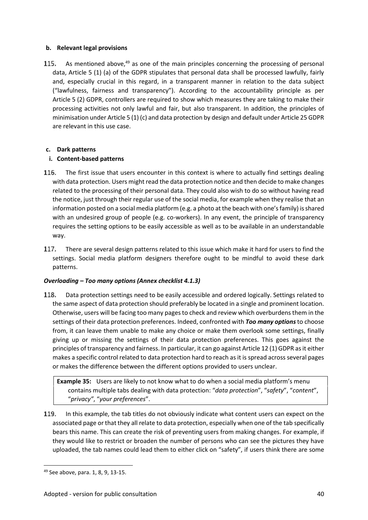# **b. Relevant legal provisions**

115. As mentioned above, $49$  as one of the main principles concerning the processing of personal data, Article 5 (1) (a) of the GDPR stipulates that personal data shall be processed lawfully, fairly and, especially crucial in this regard, in a transparent manner in relation to the data subject ("lawfulness, fairness and transparency"). According to the accountability principle as per Article 5 (2) GDPR, controllers are required to show which measures they are taking to make their processing activities not only lawful and fair, but also transparent. In addition, the principles of minimisation under Article 5 (1) (c) and data protection by design and default under Article 25 GDPR are relevant in this use case.

# **c. Dark patterns**

# **i. Content-based patterns**

- 116. The first issue that users encounter in this context is where to actually find settings dealing with data protection. Users might read the data protection notice and then decide to make changes related to the processing of their personal data. They could also wish to do so without having read the notice, just through their regular use of the social media, for example when they realise that an information posted on a social media platform (e.g. a photo at the beach with one's family) is shared with an undesired group of people (e.g. co-workers). In any event, the principle of transparency requires the setting options to be easily accessible as well as to be available in an understandable way.
- 117. There are several design patterns related to this issue which make it hard for users to find the settings. Social media platform designers therefore ought to be mindful to avoid these dark patterns.

# *Overloading – Too many options (Annex checklist 4.1.3)*

118. Data protection settings need to be easily accessible and ordered logically. Settings related to the same aspect of data protection should preferably be located in a single and prominent location. Otherwise, users will be facing too many pages to check and review which overburdens them in the settings of their data protection preferences. Indeed, confronted with *Too many options* to choose from, it can leave them unable to make any choice or make them overlook some settings, finally giving up or missing the settings of their data protection preferences. This goes against the principles of transparency and fairness. In particular, it can go against Article 12 (1) GDPR as it either makes a specific control related to data protection hard to reach as it is spread across several pages or makes the difference between the different options provided to users unclear.

**Example 35:** Users are likely to not know what to do when a social media platform's menu contains multiple tabs dealing with data protection: "*data protection*", "*safety*", "*content*", "*privacy"*, "*your preferences*".

119. In this example, the tab titles do not obviously indicate what content users can expect on the associated page or that they all relate to data protection, especially when one of the tab specifically bears this name. This can create the risk of preventing users from making changes. For example, if they would like to restrict or broaden the number of persons who can see the pictures they have uploaded, the tab names could lead them to either click on "safety", if users think there are some

<sup>49</sup> See above, para. 1, 8, 9, 13-15.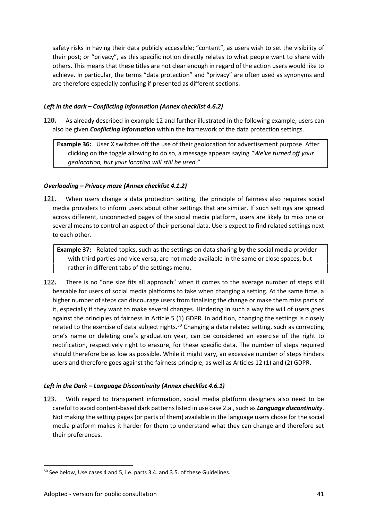safety risks in having their data publicly accessible; "content", as users wish to set the visibility of their post; or "privacy", as this specific notion directly relates to what people want to share with others. This means that these titles are not clear enough in regard of the action users would like to achieve. In particular, the terms "data protection" and "privacy" are often used as synonyms and are therefore especially confusing if presented as different sections.

# *Left in the dark – Conflicting information (Annex checklist 4.6.2)*

120. As already described in example 12 and further illustrated in the following example, users can also be given *Conflicting information* within the framework of the data protection settings.

**Example 36:** User X switches off the use of their geolocation for advertisement purpose. After clicking on the toggle allowing to do so, a message appears saying *"We've turned off your geolocation, but your location will still be used."*

# *Overloading – Privacy maze (Annex checklist 4.1.2)*

121. When users change a data protection setting, the principle of fairness also requires social media providers to inform users about other settings that are similar. If such settings are spread across different, unconnected pages of the social media platform, users are likely to miss one or several means to control an aspect of their personal data. Users expect to find related settings next to each other.

**Example 37:** Related topics, such as the settings on data sharing by the social media provider with third parties and vice versa, are not made available in the same or close spaces, but rather in different tabs of the settings menu.

122. There is no "one size fits all approach" when it comes to the average number of steps still bearable for users of social media platforms to take when changing a setting. At the same time, a higher number of steps can discourage users from finalising the change or make them miss parts of it, especially if they want to make several changes. Hindering in such a way the will of users goes against the principles of fairness in Article 5 (1) GDPR. In addition, changing the settings is closely related to the exercise of data subject rights.<sup>50</sup> Changing a data related setting, such as correcting one's name or deleting one's graduation year, can be considered an exercise of the right to rectification, respectively right to erasure, for these specific data. The number of steps required should therefore be as low as possible. While it might vary, an excessive number of steps hinders users and therefore goes against the fairness principle, as well as Articles 12 (1) and (2) GDPR.

# *Left in the Dark – Language Discontinuity (Annex checklist 4.6.1)*

123. With regard to transparent information, social media platform designers also need to be careful to avoid content-based dark patterns listed in use case 2.a., such as *Language discontinuity*. Not making the setting pages (or parts of them) available in the language users chose for the social media platform makes it harder for them to understand what they can change and therefore set their preferences.

<sup>50</sup> See below, Use cases 4 and 5, i.e. parts 3.4. and 3.5. of these Guidelines.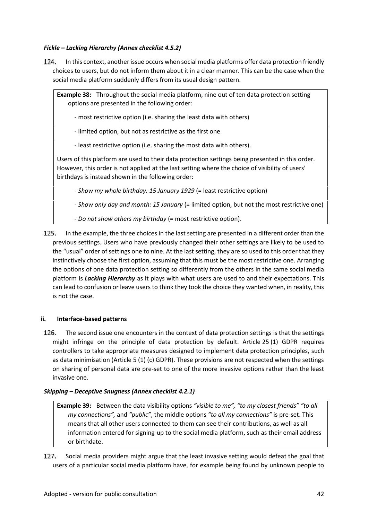# *Fickle – Lacking Hierarchy (Annex checklist 4.5.2)*

124. In this context, another issue occurs when social media platforms offer data protection friendly choices to users, but do not inform them about it in a clear manner. This can be the case when the social media platform suddenly differs from its usual design pattern.

**Example 38:** Throughout the social media platform, nine out of ten data protection setting options are presented in the following order:

- most restrictive option (i.e. sharing the least data with others)
- limited option, but not as restrictive as the first one
- least restrictive option (i.e. sharing the most data with others).

Users of this platform are used to their data protection settings being presented in this order. However, this order is not applied at the last setting where the choice of visibility of users' birthdays is instead shown in the following order:

- *Show my whole birthday: 15 January 1929* (= least restrictive option)

- *Show only day and month: 15 January* (= limited option, but not the most restrictive one)
- *Do not show others my birthday* (= most restrictive option).
- In the example, the three choices in the last setting are presented in a different order than the 125. previous settings. Users who have previously changed their other settings are likely to be used to the "usual" order of settings one to nine. At the last setting, they are so used to this order that they instinctively choose the first option, assuming that this must be the most restrictive one. Arranging the options of one data protection setting so differently from the others in the same social media platform is *Lacking Hierarchy* as it plays with what users are used to and their expectations. This can lead to confusion or leave users to think they took the choice they wanted when, in reality, this is not the case.

#### **ii. Interface-based patterns**

126. The second issue one encounters in the context of data protection settings is that the settings might infringe on the principle of data protection by default. Article 25 (1) GDPR requires controllers to take appropriate measures designed to implement data protection principles, such as data minimisation (Article 5 (1) (c) GDPR). These provisions are not respected when the settings on sharing of personal data are pre-set to one of the more invasive options rather than the least invasive one.

#### *Skipping – Deceptive Snugness (Annex checklist 4.2.1)*

**Example 39:** Between the data visibility options *"visible to me", "to my closest friends" "to all my connections",* and *"public"*, the middle options *"to all my connections"* is pre-set. This means that all other users connected to them can see their contributions, as well as all information entered for signing-up to the social media platform, such as their email address or birthdate.

127. Social media providers might argue that the least invasive setting would defeat the goal that users of a particular social media platform have, for example being found by unknown people to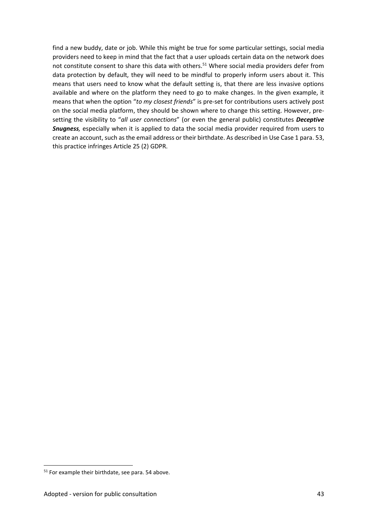find a new buddy, date or job. While this might be true for some particular settings, social media providers need to keep in mind that the fact that a user uploads certain data on the network does not constitute consent to share this data with others.<sup>51</sup> Where social media providers defer from data protection by default, they will need to be mindful to properly inform users about it. This means that users need to know what the default setting is, that there are less invasive options available and where on the platform they need to go to make changes. In the given example, it means that when the option "*to my closest friends*" is pre-set for contributions users actively post on the social media platform, they should be shown where to change this setting. However, pre setting the visibility to "*all user connections*" (or even the general public) constitutes *Deceptive Snugness,* especially when it is applied to data the social media provider required from users to create an account, such as the email address or their birthdate. As described in Use Case 1 para. 53, this practice infringes Article 25 (2) GDPR.

<sup>&</sup>lt;sup>51</sup> For example their birthdate, see para. 54 above.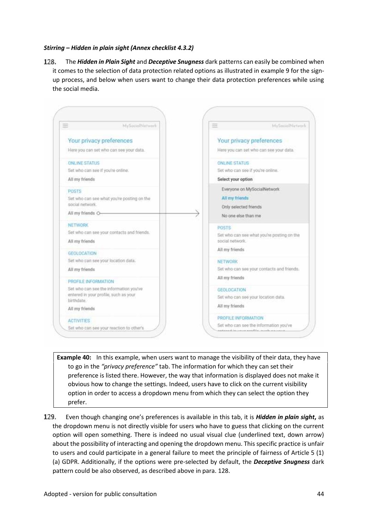#### *Stirring – Hidden in plain sight (Annex checklist 4.3.2)*

128. The *Hidden in Plain Sight* and *Deceptive Snugness* dark patterns can easily be combined when it comes to the selection of data protection related options as illustrated in example 9 for the sign up process, and below when users want to change their data protection preferences while using the social media.



**Example 40:** In this example, when users want to manage the visibility of their data, they have to go in the *"privacy preference"* tab. The information for which they can set their preference is listed there. However, the way that information is displayed does not make it obvious how to change the settings. Indeed, users have to click on the current visibility option in order to access a dropdown menu from which they can select the option they prefer.

129. Even though changing one's preferences is available in this tab, it is *Hidden in plain sight***,** as the dropdown menu is not directly visible for users who have to guess that clicking on the current option will open something. There is indeed no usual visual clue (underlined text, down arrow) about the possibility of interacting and opening the dropdown menu. This specific practice is unfair to users and could participate in a general failure to meet the principle of fairness of Article 5 (1) (a) GDPR. Additionally, if the options were pre-selected by default, the *Deceptive Snugness* dark pattern could be also observed, as described above in para. 128.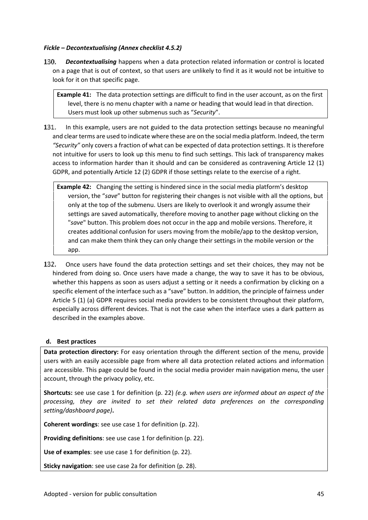#### *Fickle – Decontextualising (Annex checklist 4.5.2)*

130. *Decontextualising* happens when a data protection related information or control is located on a page that is out of context, so that users are unlikely to find it as it would not be intuitive to look for it on that specific page.

**Example 41:** The data protection settings are difficult to find in the user account, as on the first level, there is no menu chapter with a name or heading that would lead in that direction. Users must look up other submenus such as "*Security*".

131. In this example, users are not guided to the data protection settings because no meaningful and clear terms are used to indicate where these are on the social media platform. Indeed, the term *"Security"* only covers a fraction of what can be expected of data protection settings. It is therefore not intuitive for users to look up this menu to find such settings. This lack of transparency makes access to information harder than it should and can be considered as contravening Article 12 (1) GDPR, and potentially Article 12 (2) GDPR if those settings relate to the exercise of a right.

**Example 42:** Changing the setting is hindered since in the social media platform's desktop version, the "*save*" button for registering their changes is not visible with all the options, but only at the top of the submenu. Users are likely to overlook it and wrongly assume their settings are saved automatically, therefore moving to another page without clicking on the "*save*" button. This problem does not occur in the app and mobile versions. Therefore, it creates additional confusion for users moving from the mobile/app to the desktop version, and can make them think they can only change their settings in the mobile version or the app.

132. Once users have found the data protection settings and set their choices, they may not be hindered from doing so. Once users have made a change, the way to save it has to be obvious, whether this happens as soon as users adjust a setting or it needs a confirmation by clicking on a specific element of the interface such as a "save" button. In addition, the principle of fairness under Article 5 (1) (a) GDPR requires social media providers to be consistent throughout their platform, especially across different devices. That is not the case when the interface uses a dark pattern as described in the examples above.

#### **d. Best practices**

**Data protection directory:** For easy orientation through the different section of the menu, provide users with an easily accessible page from where all data protection related actions and information are accessible. This page could be found in the social media provider main navigation menu, the user account, through the privacy policy, etc.

**Shortcuts:** see use case 1 for definition (p. 22) *(e.g. when users are informed about an aspect of the processing, they are invited to set their related data preferences on the corresponding setting/dashboard page)***.**

**Coherent wordings**: see use case 1 for definition (p. 22).

**Providing definitions**: see use case 1 for definition (p. 22).

**Use of examples**: see use case 1 for definition (p. 22).

**Sticky navigation**: see use case 2a for definition (p. 28).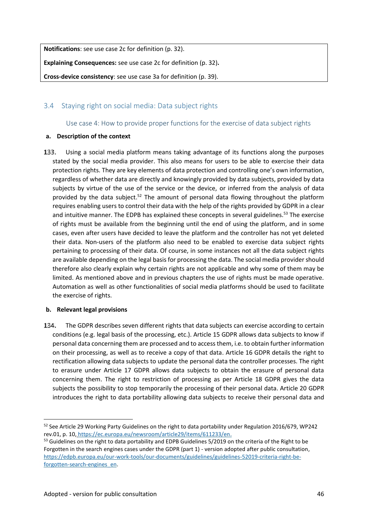**Notifications**: see use case 2c for definition (p. 32).

**Explaining Consequences:** see use case 2c for definition (p. 32)**.**

**Cross-device consistency**: see use case 3a for definition (p. 39).

# 3.4 Staying right on social media: Data subject rights

Use case 4: How to provide proper functions for the exercise of data subject rights

# **a. Description of the context**

133. Using a social media platform means taking advantage of its functions along the purposes stated by the social media provider. This also means for users to be able to exercise their data protection rights. They are key elements of data protection and controlling one's own information, regardless of whether data are directly and knowingly provided by data subjects, provided by data subjects by virtue of the use of the service or the device, or inferred from the analysis of data provided by the data subject.<sup>52</sup> The amount of personal data flowing throughout the platform requires enabling users to control their data with the help of the rights provided by GDPR in a clear and intuitive manner. The EDPB has explained these concepts in several guidelines.<sup>53</sup> The exercise of rights must be available from the beginning until the end of using the platform, and in some cases, even after users have decided to leave the platform and the controller has not yet deleted their data. Non-users of the platform also need to be enabled to exercise data subject rights pertaining to processing of their data. Of course, in some instances not all the data subject rights are available depending on the legal basis for processing the data. The social media provider should therefore also clearly explain why certain rights are not applicable and why some of them may be limited. As mentioned above and in previous chapters the use of rights must be made operative. Automation as well as other functionalities of social media platforms should be used to facilitate the exercise of rights.

# **b. Relevant legal provisions**

134. The GDPR describes seven different rights that data subjects can exercise according to certain conditions (e.g. legal basis of the processing, etc.). Article 15 GDPR allows data subjects to know if personal data concerning them are processed and to access them, i.e. to obtain further information on their processing, as well as to receive a copy of that data. Article 16 GDPR details the right to rectification allowing data subjects to update the personal data the controller processes. The right to erasure under Article 17 GDPR allows data subjects to obtain the erasure of personal data concerning them. The right to restriction of processing as per Article 18 GDPR gives the data subjects the possibility to stop temporarily the processing of their personal data. Article 20 GDPR introduces the right to data portability allowing data subjects to receive their personal data and

<sup>&</sup>lt;sup>52</sup> See Article 29 Working Party Guidelines on the right to data portability under Regulation 2016/679, WP242 rev.01, p. 10, https://ec.europa.eu/newsroom/article29/items/611233/en.

<sup>&</sup>lt;sup>53</sup> Guidelines on the right to data portability and EDPB Guidelines 5/2019 on the criteria of the Right to be Forgotten in the search engines cases under the GDPR (part 1) - version adopted after public consultation, https://edpb.europa.eu/our-work-tools/our-documents/guidelines/guidelines-52019-criteria-right-beforgotten-search-engines\_en.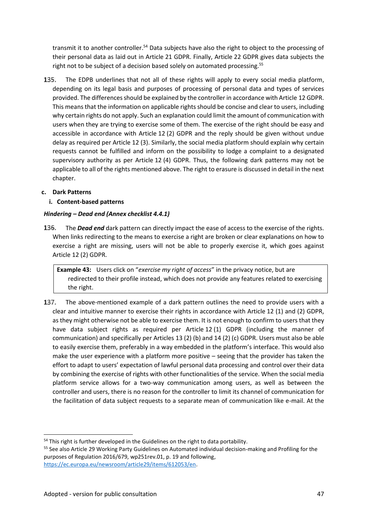transmit it to another controller.<sup>54</sup> Data subjects have also the right to object to the processing of their personal data as laid out in Article 21 GDPR. Finally, Article 22 GDPR gives data subjects the right not to be subject of a decision based solely on automated processing.<sup>55</sup>

The EDPB underlines that not all of these rights will apply to every social media platform, 135. depending on its legal basis and purposes of processing of personal data and types of services provided. The differences should be explained by the controller in accordance with Article 12 GDPR. This means that the information on applicable rights should be concise and clear to users, including why certain rights do not apply. Such an explanation could limit the amount of communication with users when they are trying to exercise some of them. The exercise of the right should be easy and accessible in accordance with Article 12 (2) GDPR and the reply should be given without undue delay as required per Article 12 (3). Similarly, the social media platform should explain why certain requests cannot be fulfilled and inform on the possibility to lodge a complaint to a designated supervisory authority as per Article 12 (4) GDPR. Thus, the following dark patterns may not be applicable to all of the rights mentioned above. The right to erasure is discussed in detail in the next chapter.

# **c. Dark Patterns**

**i. Content-based patterns**

# *Hindering – Dead end (Annex checklist 4.4.1)*

136. The *Dead end* dark pattern can directly impact the ease of access to the exercise of the rights. When links redirecting to the means to exercise a right are broken or clear explanations on how to exercise a right are missing, users will not be able to properly exercise it, which goes against Article 12 (2) GDPR.

**Example 43:** Users click on "*exercise my right of access*" in the privacy notice, but are redirected to their profile instead, which does not provide any features related to exercising the right.

137. The above-mentioned example of a dark pattern outlines the need to provide users with a clear and intuitive manner to exercise their rights in accordance with Article 12 (1) and (2) GDPR, as they might otherwise not be able to exercise them. It is not enough to confirm to users that they have data subject rights as required per Article 12 (1) GDPR (including the manner of communication) and specifically per Articles 13 (2) (b) and 14 (2) (c) GDPR. Users must also be able to easily exercise them, preferably in a way embedded in the platform's interface. This would also make the user experience with a platform more positive – seeing that the provider has taken the effort to adapt to users' expectation of lawful personal data processing and control over their data by combining the exercise of rights with other functionalities of the service. When the social media platform service allows for a two-way communication among users, as well as between the controller and users, there is no reason for the controller to limit its channel of communication for the facilitation of data subject requests to a separate mean of communication like e-mail. At the

55 See also Article 29 Working Party Guidelines on Automated individual decision-making and Profiling for the purposes of Regulation 2016/679, wp251rev.01, p. 19 and following, https://ec.europa.eu/newsroom/article29/items/612053/en.

<sup>&</sup>lt;sup>54</sup> This right is further developed in the Guidelines on the right to data portability.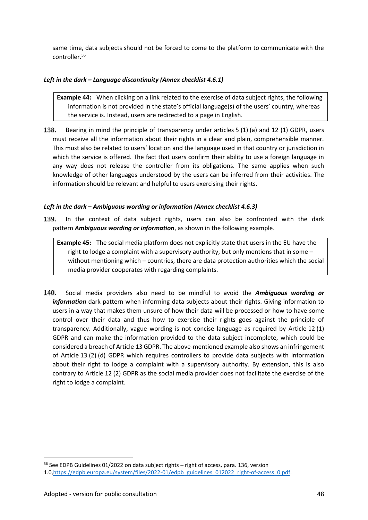same time, data subjects should not be forced to come to the platform to communicate with the controller.<sup>56</sup>

# *Left in the dark – Language discontinuity (Annex checklist 4.6.1)*

**Example 44:** When clicking on a link related to the exercise of data subject rights, the following information is not provided in the state's official language(s) of the users' country, whereas the service is. Instead, users are redirected to a page in English.

138. Bearing in mind the principle of transparency under articles 5 (1) (a) and 12 (1) GDPR, users must receive all the information about their rights in a clear and plain, comprehensible manner. This must also be related to users' location and the language used in that country or jurisdiction in which the service is offered. The fact that users confirm their ability to use a foreign language in any way does not release the controller from its obligations. The same applies when such knowledge of other languages understood by the users can be inferred from their activities. The information should be relevant and helpful to users exercising their rights.

# *Left in the dark – Ambiguous wording or information (Annex checklist 4.6.3)*

139. In the context of data subject rights, users can also be confronted with the dark pattern *Ambiguous wording or information*, as shown in the following example.

**Example 45:** The social media platform does not explicitly state that users in the EU have the right to lodge a complaint with a supervisory authority, but only mentions that in some – without mentioning which – countries, there are data protection authorities which the social media provider cooperates with regarding complaints.

140. Social media providers also need to be mindful to avoid the *Ambiguous wording or information* dark pattern when informing data subjects about their rights. Giving information to users in a way that makes them unsure of how their data will be processed or how to have some control over their data and thus how to exercise their rights goes against the principle of transparency. Additionally, vague wording is not concise language as required by Article 12 (1) GDPR and can make the information provided to the data subject incomplete, which could be considered a breach of Article 13 GDPR. The above-mentioned example also shows an infringement of Article 13 (2) (d) GDPR which requires controllers to provide data subjects with information about their right to lodge a complaint with a supervisory authority. By extension, this is also contrary to Article 12 (2) GDPR as the social media provider does not facilitate the exercise of the right to lodge a complaint.

<sup>&</sup>lt;sup>56</sup> See EDPB Guidelines 01/2022 on data subject rights - right of access, para. 136, version

<sup>1.0,</sup>https://edpb.europa.eu/system/files/2022-01/edpb\_guidelines\_012022\_right-of-access\_0.pdf.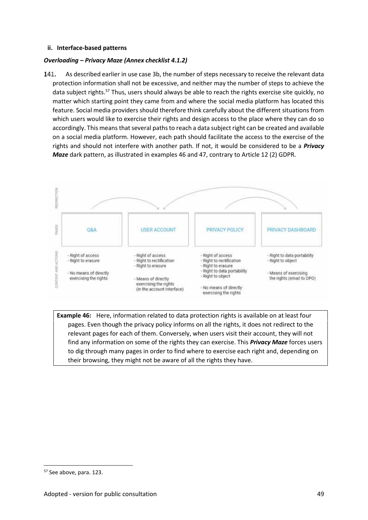#### **ii. Interface-based patterns**

## *Overloading – Privacy Maze (Annex checklist 4.1.2)*

141. As described earlier in use case 3b, the number of steps necessary to receive the relevant data protection information shall not be excessive, and neither may the number of steps to achieve the data subject rights.<sup>57</sup> Thus, users should always be able to reach the rights exercise site quickly, no matter which starting point they came from and where the social media platform has located this feature. Social media providers should therefore think carefully about the different situations from which users would like to exercise their rights and design access to the place where they can do so accordingly. This means that several paths to reach a data subject right can be created and available on a social media platform. However, each path should facilitate the access to the exercise of the rights and should not interfere with another path. If not, it would be considered to be a *Privacy Maze* dark pattern, as illustrated in examples 46 and 47, contrary to Article 12 (2) GDPR.



**Example 46:** Here, information related to data protection rights is available on at least four pages. Even though the privacy policy informs on all the rights, it does not redirect to the relevant pages for each of them. Conversely, when users visit their account, they will not find any information on some of the rights they can exercise. This *Privacy Maze* forces users to dig through many pages in order to find where to exercise each right and, depending on their browsing, they might not be aware of all the rights they have.

<sup>&</sup>lt;sup>57</sup> See above, para. 123.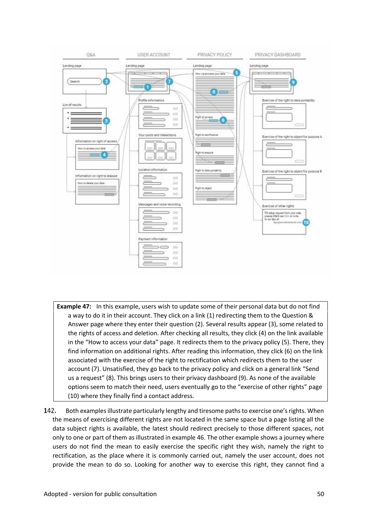

- **Example 47:** In this example, users wish to update some of their personal data but do not find a way to do it in their account. They click on a link (1) redirecting them to the Question & Answer page where they enter their question (2). Several results appear (3), some related to the rights of access and deletion. After checking all results, they click (4) on the link available in the "How to access your data" page. It redirects them to the privacy policy (5). There, they find information on additional rights. After reading this information, they click (6) on the link associated with the exercise of the right to rectification which redirects them to the user account (7). Unsatisfied, they go back to the privacy policy and click on a general link "Send us a request" (8). This brings users to their privacy dashboard (9). As none of the available options seem to match their need, users eventually go to the "exercise of other rights" page (10) where they finally find a contact address.
- 142. Both examples illustrate particularly lengthy and tiresome paths to exercise one's rights. When the means of exercising different rights are not located in the same space but a page listing all the data subject rights is available, the latest should redirect precisely to those different spaces, not only to one or part of them as illustrated in example 46. The other example shows a journey where users do not find the mean to easily exercise the specific right they wish, namely the right to rectification, as the place where it is commonly carried out, namely the user account, does not provide the mean to do so. Looking for another way to exercise this right, they cannot find a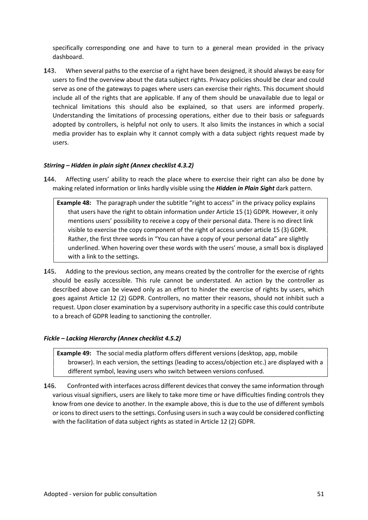specifically corresponding one and have to turn to a general mean provided in the privacy dashboard.

143. When several paths to the exercise of a right have been designed, it should always be easy for users to find the overview about the data subject rights. Privacy policies should be clear and could serve as one of the gateways to pages where users can exercise their rights. This document should include all of the rights that are applicable. If any of them should be unavailable due to legal or technical limitations this should also be explained, so that users are informed properly. Understanding the limitations of processing operations, either due to their basis or safeguards adopted by controllers, is helpful not only to users. It also limits the instances in which a social media provider has to explain why it cannot comply with a data subject rights request made by users.

# *Stirring – Hidden in plain sight (Annex checklist 4.3.2)*

144. Affecting users' ability to reach the place where to exercise their right can also be done by making related information or links hardly visible using the *Hidden in Plain Sight* dark pattern.

**Example 48:** The paragraph under the subtitle "right to access" in the privacy policy explains that users have the right to obtain information under Article 15 (1) GDPR. However, it only mentions users' possibility to receive a copy of their personal data. There is no direct link visible to exercise the copy component of the right of access under article 15 (3) GDPR. Rather, the first three words in "You can have a copy of your personal data" are slightly underlined. When hovering over these words with the users' mouse, a small box is displayed with a link to the settings.

Adding to the previous section, any means created by the controller for the exercise of rights 145. should be easily accessible. This rule cannot be understated. An action by the controller as described above can be viewed only as an effort to hinder the exercise of rights by users, which goes against Article 12 (2) GDPR. Controllers, no matter their reasons, should not inhibit such a request. Upon closer examination by a supervisory authority in a specific case this could contribute to a breach of GDPR leading to sanctioning the controller.

#### *Fickle – Lacking Hierarchy (Annex checklist 4.5.2)*

**Example 49:** The social media platform offers different versions (desktop, app, mobile browser). In each version, the settings (leading to access/objection etc.) are displayed with a different symbol, leaving users who switch between versions confused.

Confronted with interfaces across different devices that convey the same information through 146. various visual signifiers, users are likely to take more time or have difficulties finding controls they know from one device to another. In the example above, this is due to the use of different symbols or icons to direct users to the settings. Confusing users in such a way could be considered conflicting with the facilitation of data subject rights as stated in Article 12 (2) GDPR.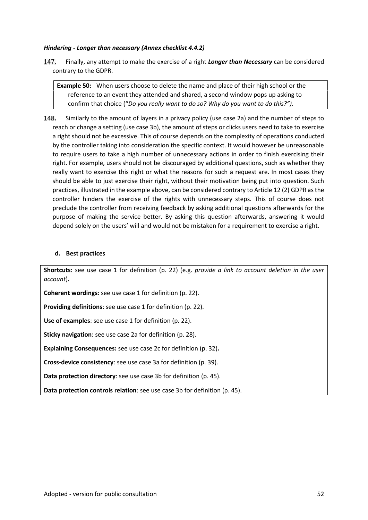#### *Hindering - Longer than necessary (Annex checklist 4.4.2)*

147. Finally, any attempt to make the exercise of a right *Longer than Necessary* can be considered contrary to the GDPR.

**Example 50:** When users choose to delete the name and place of their high school or the reference to an event they attended and shared, a second window pops up asking to confirm that choice ("*Do you really want to do so? Why do you want to do this?")*.

148. Similarly to the amount of layers in a privacy policy (use case 2a) and the number of steps to reach or change a setting (use case 3b), the amount of steps or clicks users need to take to exercise a right should not be excessive. This of course depends on the complexity of operations conducted by the controller taking into consideration the specific context. It would however be unreasonable to require users to take a high number of unnecessary actions in order to finish exercising their right. For example, users should not be discouraged by additional questions, such as whether they really want to exercise this right or what the reasons for such a request are. In most cases they should be able to just exercise their right, without their motivation being put into question. Such practices, illustrated in the example above, can be considered contrary to Article 12 (2) GDPR as the controller hinders the exercise of the rights with unnecessary steps. This of course does not preclude the controller from receiving feedback by asking additional questions afterwards for the purpose of making the service better. By asking this question afterwards, answering it would depend solely on the users' will and would not be mistaken for a requirement to exercise a right.

#### **d. Best practices**

**Shortcuts:** see use case 1 for definition (p. 22) (e.g. *provide a link to account deletion in the user account*)**.**

**Coherent wordings**: see use case 1 for definition (p. 22).

**Providing definitions**: see use case 1 for definition (p. 22).

**Use of examples**: see use case 1 for definition (p. 22).

**Sticky navigation**: see use case 2a for definition (p. 28).

**Explaining Consequences:** see use case 2c for definition (p. 32)**.**

**Cross-device consistency**: see use case 3a for definition (p. 39).

**Data protection directory**: see use case 3b for definition (p. 45).

**Data protection controls relation**: see use case 3b for definition (p. 45).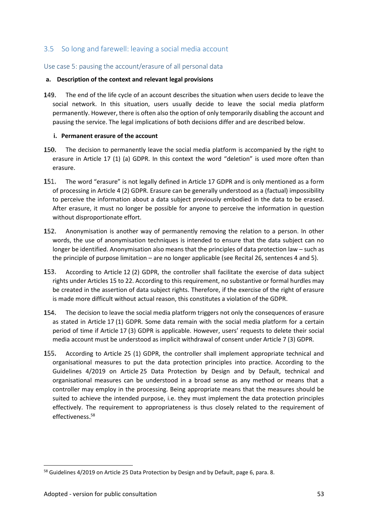# 3.5 So long and farewell: leaving a social media account

# Use case 5: pausing the account/erasure of all personal data

#### **a. Description of the context and relevant legal provisions**

149. The end of the life cycle of an account describes the situation when users decide to leave the social network. In this situation, users usually decide to leave the social media platform permanently. However, there is often also the option of only temporarily disabling the account and pausing the service. The legal implications of both decisions differ and are described below.

#### **i. Permanent erasure of the account**

- 150. The decision to permanently leave the social media platform is accompanied by the right to erasure in Article 17 (1) (a) GDPR. In this context the word "deletion" is used more often than erasure.
- 151. The word "erasure" is not legally defined in Article 17 GDPR and is only mentioned as a form of processing in Article 4 (2) GDPR. Erasure can be generally understood as a (factual) impossibility to perceive the information about a data subject previously embodied in the data to be erased. After erasure, it must no longer be possible for anyone to perceive the information in question without disproportionate effort.
- 152. Anonymisation is another way of permanently removing the relation to a person. In other words, the use of anonymisation techniques is intended to ensure that the data subject can no longer be identified. Anonymisation also means that the principles of data protection law – such as the principle of purpose limitation – are no longer applicable (see Recital 26, sentences 4 and 5).
- 153. According to Article 12 (2) GDPR, the controller shall facilitate the exercise of data subject rights under Articles 15 to 22. According to this requirement, no substantive or formal hurdles may be created in the assertion of data subject rights. Therefore, if the exercise of the right of erasure is made more difficult without actual reason, this constitutes a violation of the GDPR.
- 154. The decision to leave the social media platform triggers not only the consequences of erasure as stated in Article 17 (1) GDPR. Some data remain with the social media platform for a certain period of time if Article 17 (3) GDPR is applicable. However, users' requests to delete their social media account must be understood as implicit withdrawal of consent under Article 7 (3) GDPR.
- 155. According to Article 25 (1) GDPR, the controller shall implement appropriate technical and organisational measures to put the data protection principles into practice. According to the Guidelines 4/2019 on Article 25 Data Protection by Design and by Default, technical and organisational measures can be understood in a broad sense as any method or means that a controller may employ in the processing. Being appropriate means that the measures should be suited to achieve the intended purpose, i.e. they must implement the data protection principles effectively. The requirement to appropriateness is thus closely related to the requirement of effectiveness.<sup>58</sup>

<sup>&</sup>lt;sup>58</sup> Guidelines 4/2019 on Article 25 Data Protection by Design and by Default, page 6, para. 8.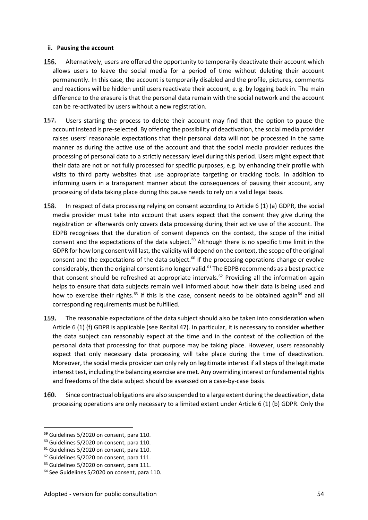#### **ii. Pausing the account**

- 156. Alternatively, users are offered the opportunity to temporarily deactivate their account which allows users to leave the social media for a period of time without deleting their account permanently. In this case, the account is temporarily disabled and the profile, pictures, comments and reactions will be hidden until users reactivate their account, e. g. by logging back in. The main difference to the erasure is that the personal data remain with the social network and the account can be re-activated by users without a new registration.
- 157. Users starting the process to delete their account may find that the option to pause the account instead is pre-selected. By offering the possibility of deactivation, the social media provider raises users' reasonable expectations that their personal data will not be processed in the same manner as during the active use of the account and that the social media provider reduces the processing of personal data to a strictly necessary level during this period. Users might expect that their data are not or not fully processed for specific purposes, e.g. by enhancing their profile with visits to third party websites that use appropriate targeting or tracking tools. In addition to informing users in a transparent manner about the consequences of pausing their account, any processing of data taking place during this pause needs to rely on a valid legal basis.
- 158. In respect of data processing relying on consent according to Article 6 (1) (a) GDPR, the social media provider must take into account that users expect that the consent they give during the registration or afterwards only covers data processing during their active use of the account. The EDPB recognises that the duration of consent depends on the context, the scope of the initial consent and the expectations of the data subject.<sup>59</sup> Although there is no specific time limit in the GDPR for how long consent will last, the validity will depend on the context, the scope of the original consent and the expectations of the data subject.<sup>60</sup> If the processing operations change or evolve considerably, then the original consent is no longer valid.<sup>61</sup> The EDPB recommends as a best practice that consent should be refreshed at appropriate intervals.<sup>62</sup> Providing all the information again helps to ensure that data subjects remain well informed about how their data is being used and how to exercise their rights.<sup>63</sup> If this is the case, consent needs to be obtained again<sup>64</sup> and all corresponding requirements must be fulfilled.
- 159. The reasonable expectations of the data subject should also be taken into consideration when Article 6 (1) (f) GDPR is applicable (see Recital 47). In particular, it is necessary to consider whether the data subject can reasonably expect at the time and in the context of the collection of the personal data that processing for that purpose may be taking place. However, users reasonably expect that only necessary data processing will take place during the time of deactivation. Moreover, the social media provider can only rely on legitimate interest if all steps of the legitimate interest test, including the balancing exercise are met. Any overriding interest or fundamental rights and freedoms of the data subject should be assessed on a case-by-case basis.
- 160. Since contractual obligations are also suspended to a large extent during the deactivation, data processing operations are only necessary to a limited extent under Article 6 (1) (b) GDPR. Only the

<sup>&</sup>lt;sup>59</sup> Guidelines 5/2020 on consent, para 110.

<sup>&</sup>lt;sup>60</sup> Guidelines 5/2020 on consent, para 110.

<sup>&</sup>lt;sup>61</sup> Guidelines 5/2020 on consent, para 110.

 $62$  Guidelines 5/2020 on consent, para 111.

<sup>&</sup>lt;sup>63</sup> Guidelines 5/2020 on consent, para 111.

<sup>&</sup>lt;sup>64</sup> See Guidelines 5/2020 on consent, para 110.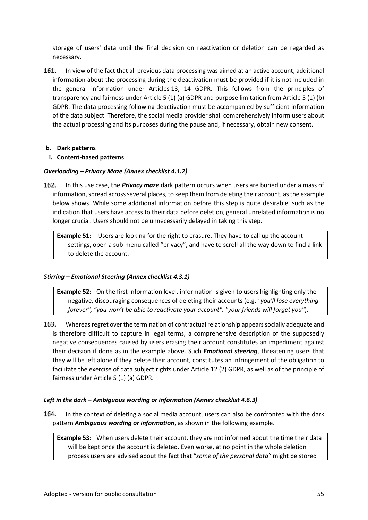storage of users' data until the final decision on reactivation or deletion can be regarded as necessary.

161. In view of the fact that all previous data processing was aimed at an active account, additional information about the processing during the deactivation must be provided if it is not included in the general information under Articles 13, 14 GDPR. This follows from the principles of transparency and fairness under Article 5 (1) (a) GDPR and purpose limitation from Article 5 (1) (b) GDPR. The data processing following deactivation must be accompanied by sufficient information of the data subject. Therefore, the social media provider shall comprehensively inform users about the actual processing and its purposes during the pause and, if necessary, obtain new consent.

# **b. Dark patterns**

#### **i. Content-based patterns**

#### *Overloading – Privacy Maze (Annex checklist 4.1.2)*

162. In this use case, the *Privacy maze* dark pattern occurs when users are buried under a mass of information, spread across several places, to keep them from deleting their account, as the example below shows. While some additional information before this step is quite desirable, such as the indication that users have access to their data before deletion, general unrelated information is no longer crucial. Users should not be unnecessarily delayed in taking this step.

**Example 51:** Users are looking for the right to erasure. They have to call up the account settings, open a sub-menu called "privacy", and have to scroll all the way down to find a link to delete the account.

# *Stirring – Emotional Steering (Annex checklist 4.3.1)*

**Example 52:** On the first information level, information is given to users highlighting only the negative, discouraging consequences of deleting their accounts (e.g. *"you'll lose everything forever", "you won't be able to reactivate your account", "your friends will forget you"*).

163. Whereas regret over the termination of contractual relationship appears socially adequate and is therefore difficult to capture in legal terms, a comprehensive description of the supposedly negative consequences caused by users erasing their account constitutes an impediment against their decision if done as in the example above. Such *Emotional steering*, threatening users that they will be left alone if they delete their account, constitutes an infringement of the obligation to facilitate the exercise of data subject rights under Article 12 (2) GDPR, as well as of the principle of fairness under Article 5 (1) (a) GDPR.

# *Left in the dark – Ambiguous wording or information (Annex checklist 4.6.3)*

164. In the context of deleting a social media account, users can also be confronted with the dark pattern *Ambiguous wording or information*, as shown in the following example.

**Example 53:** When users delete their account, they are not informed about the time their data will be kept once the account is deleted. Even worse, at no point in the whole deletion process users are advised about the fact that "*some of the personal data"* might be stored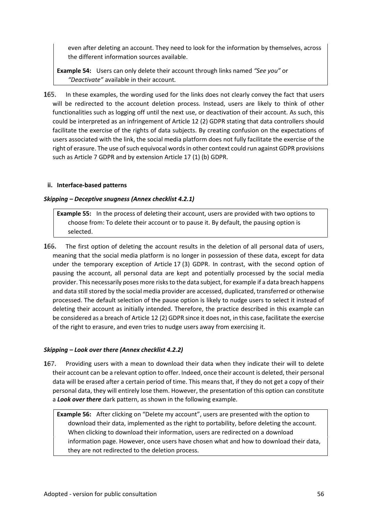even after deleting an account. They need to look for the information by themselves, across the different information sources available.

**Example 54:** Users can only delete their account through links named *"See you"* or *"Deactivate"* available in their account*.*

In these examples, the wording used for the links does not clearly convey the fact that users 165. will be redirected to the account deletion process. Instead, users are likely to think of other functionalities such as logging off until the next use, or deactivation of their account. As such, this could be interpreted as an infringement of Article 12 (2) GDPR stating that data controllers should facilitate the exercise of the rights of data subjects. By creating confusion on the expectations of users associated with the link, the social media platform does not fully facilitate the exercise of the right of erasure. The use of such equivocal words in other context could run against GDPR provisions such as Article 7 GDPR and by extension Article 17 (1) (b) GDPR.

#### **ii. Interface-based patterns**

#### *Skipping – Deceptive snugness (Annex checklist 4.2.1)*

**Example 55:** In the process of deleting their account, users are provided with two options to choose from: To delete their account or to pause it. By default, the pausing option is selected.

166. The first option of deleting the account results in the deletion of all personal data of users, meaning that the social media platform is no longer in possession of these data, except for data under the temporary exception of Article 17 (3) GDPR. In contrast, with the second option of pausing the account, all personal data are kept and potentially processed by the social media provider. This necessarily poses more risks to the data subject, for example if a data breach happens and data still stored by the social media provider are accessed, duplicated, transferred or otherwise processed. The default selection of the pause option is likely to nudge users to select it instead of deleting their account as initially intended. Therefore, the practice described in this example can be considered as a breach of Article 12 (2) GDPR since it does not, in this case, facilitate the exercise of the right to erasure, and even tries to nudge users away from exercising it.

# *Skipping – Look over there (Annex checklist 4.2.2)*

167. Providing users with a mean to download their data when they indicate their will to delete their account can be a relevant option to offer. Indeed, once their account is deleted, their personal data will be erased after a certain period of time. This means that, if they do not get a copy of their personal data, they will entirely lose them. However, the presentation of this option can constitute a *Look over there* dark pattern, as shown in the following example.

**Example 56:** After clicking on "Delete my account", users are presented with the option to download their data, implemented as the right to portability, before deleting the account. When clicking to download their information, users are redirected on a download information page. However, once users have chosen what and how to download their data, they are not redirected to the deletion process.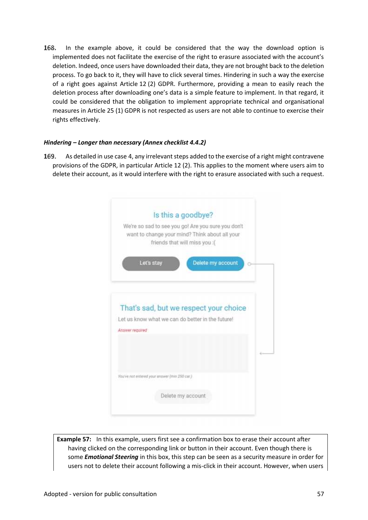168. In the example above, it could be considered that the way the download option is implemented does not facilitate the exercise of the right to erasure associated with the account's deletion. Indeed, once users have downloaded their data, they are not brought back to the deletion process. To go back to it, they will have to click several times. Hindering in such a way the exercise of a right goes against Article 12 (2) GDPR. Furthermore, providing a mean to easily reach the deletion process after downloading one's data is a simple feature to implement. In that regard, it could be considered that the obligation to implement appropriate technical and organisational measures in Article 25 (1) GDPR is not respected as users are not able to continue to exercise their rights effectively.

#### *Hindering – Longer than necessary (Annex checklist 4.4.2)*

169. As detailed in use case 4, any irrelevant steps added to the exercise of a right might contravene provisions of the GDPR, in particular Article 12 (2). This applies to the moment where users aim to delete their account, as it would interfere with the right to erasure associated with such a request.

|                 |                                               | Is this a goodbye?                                                              |  |
|-----------------|-----------------------------------------------|---------------------------------------------------------------------------------|--|
|                 |                                               | We're so sad to see you go! Are you sure you don't                              |  |
|                 |                                               | want to change your mind? Think about all your<br>friends that will miss you :( |  |
|                 |                                               |                                                                                 |  |
|                 | Let's stay                                    | Delete my account                                                               |  |
|                 |                                               |                                                                                 |  |
|                 |                                               |                                                                                 |  |
|                 |                                               |                                                                                 |  |
|                 |                                               |                                                                                 |  |
|                 |                                               | That's sad, but we respect your choice                                          |  |
|                 |                                               | Let us know what we can do better in the future!                                |  |
| Answer required |                                               |                                                                                 |  |
|                 |                                               |                                                                                 |  |
|                 |                                               |                                                                                 |  |
|                 |                                               |                                                                                 |  |
|                 | You've not entered your answer (min 250 car.) |                                                                                 |  |
|                 |                                               |                                                                                 |  |

**Example 57:** In this example, users first see a confirmation box to erase their account after having clicked on the corresponding link or button in their account. Even though there is some *Emotional Steering* in this box, this step can be seen as a security measure in order for users not to delete their account following a mis-click in their account. However, when users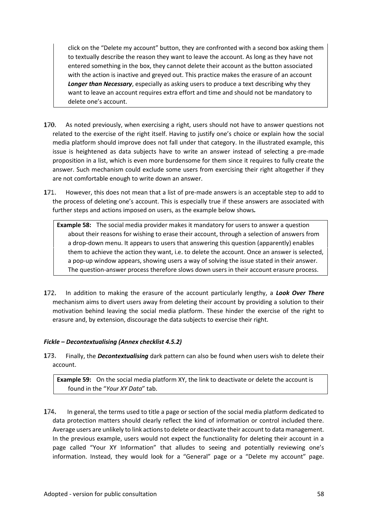click on the "Delete my account" button, they are confronted with a second box asking them to textually describe the reason they want to leave the account. As long as they have not entered something in the box, they cannot delete their account as the button associated with the action is inactive and greyed out. This practice makes the erasure of an account **Longer than Necessary**, especially as asking users to produce a text describing why they want to leave an account requires extra effort and time and should not be mandatory to delete one's account.

- 170. As noted previously, when exercising a right, users should not have to answer questions not related to the exercise of the right itself. Having to justify one's choice or explain how the social media platform should improve does not fall under that category. In the illustrated example, this issue is heightened as data subjects have to write an answer instead of selecting a pre-made proposition in a list, which is even more burdensome for them since it requires to fully create the answer. Such mechanism could exclude some users from exercising their right altogether if they are not comfortable enough to write down an answer.
- 171. However, this does not mean that a list of pre-made answers is an acceptable step to add to the process of deleting one's account. This is especially true if these answers are associated with further steps and actions imposed on users, as the example below shows*.*

**Example 58:** The social media provider makes it mandatory for users to answer a question about their reasons for wishing to erase their account, through a selection of answers from a drop-down menu. It appears to users that answering this question (apparently) enables them to achieve the action they want, i.e. to delete the account. Once an answer is selected, a pop-up window appears, showing users a way of solving the issue stated in their answer. The question-answer process therefore slows down users in their account erasure process.

172. In addition to making the erasure of the account particularly lengthy, a *Look Over There* mechanism aims to divert users away from deleting their account by providing a solution to their motivation behind leaving the social media platform. These hinder the exercise of the right to erasure and, by extension, discourage the data subjects to exercise their right.

# *Fickle – Decontextualising (Annex checklist 4.5.2)*

173. Finally, the *Decontextualising* dark pattern can also be found when users wish to delete their account.

**Example 59:** On the social media platform XY, the link to deactivate or delete the account is found in the "*Your XY Data*" tab.

174. In general, the terms used to title a page or section of the social media platform dedicated to data protection matters should clearly reflect the kind of information or control included there. Average users are unlikely to link actions to delete or deactivate their account to data management. In the previous example, users would not expect the functionality for deleting their account in a page called "Your XY Information" that alludes to seeing and potentially reviewing one's information. Instead, they would look for a "General" page or a "Delete my account" page.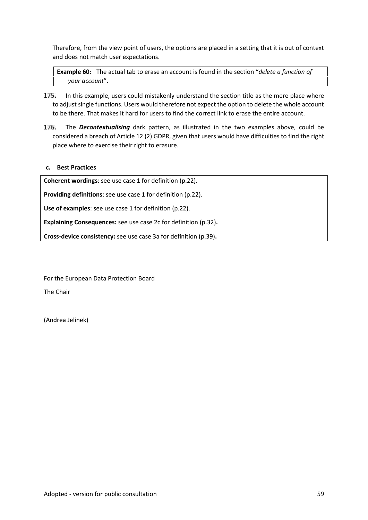Therefore, from the view point of users, the options are placed in a setting that it is out of context and does not match user expectations.

**Example 60:** The actual tab to erase an account is found in the section "*delete a function of your account*".

- 175. In this example, users could mistakenly understand the section title as the mere place where to adjust single functions. Users would therefore not expect the option to delete the whole account to be there. That makes it hard for users to find the correct link to erase the entire account.
- 176. The *Decontextualising* dark pattern, as illustrated in the two examples above, could be considered a breach of Article 12 (2) GDPR, given that users would have difficulties to find the right place where to exercise their right to erasure.

#### **c. Best Practices**

**Coherent wordings**: see use case 1 for definition (p.22).

**Providing definitions**: see use case 1 for definition (p.22).

**Use of examples**: see use case 1 for definition (p.22).

**Explaining Consequences:** see use case 2c for definition (p.32)**.**

**Cross-device consistency:** see use case 3a for definition (p.39)**.**

For the European Data Protection Board

The Chair

(Andrea Jelinek)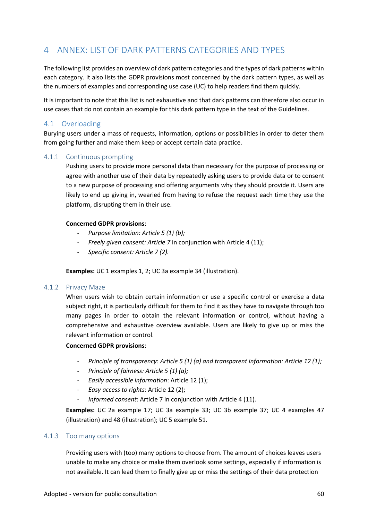# 4 ANNEX: LIST OF DARK PATTERNS CATEGORIES AND TYPES

The following list provides an overview of dark pattern categories and the types of dark patterns within each category. It also lists the GDPR provisions most concerned by the dark pattern types, as well as the numbers of examples and corresponding use case (UC) to help readers find them quickly.

It is important to note that this list is not exhaustive and that dark patterns can therefore also occur in use cases that do not contain an example for this dark pattern type in the text of the Guidelines.

# 4.1 Overloading

Burying users under a mass of requests, information, options or possibilities in order to deter them from going further and make them keep or accept certain data practice.

# 4.1.1 Continuous prompting

Pushing users to provide more personal data than necessary for the purpose of processing or agree with another use of their data by repeatedly asking users to provide data or to consent to a new purpose of processing and offering arguments why they should provide it. Users are likely to end up giving in, wearied from having to refuse the request each time they use the platform, disrupting them in their use.

#### **Concerned GDPR provisions**:

- *Purpose limitation: Article 5 (1) (b);*
- *Freely given consent: Article 7* in conjunction with Article 4 (11);
- *Specific consent: Article 7 (2).*

**Examples:** UC 1 examples 1, 2; UC 3a example 34 (illustration).

#### 4.1.2 Privacy Maze

When users wish to obtain certain information or use a specific control or exercise a data subject right, it is particularly difficult for them to find it as they have to navigate through too many pages in order to obtain the relevant information or control, without having a comprehensive and exhaustive overview available. Users are likely to give up or miss the relevant information or control.

#### **Concerned GDPR provisions**:

- *Principle of transparency*: *Article 5 (1) (a) and transparent information: Article 12 (1);*
- *Principle of fairness: Article 5 (1) (a);*
- *Easily accessible information*: Article 12 (1);
- *Easy access to rights*: Article 12 (2);
- *Informed consent*: Article 7 in conjunction with Article 4 (11).

**Examples:** UC 2a example 17; UC 3a example 33; UC 3b example 37; UC 4 examples 47 (illustration) and 48 (illustration); UC 5 example 51.

# 4.1.3 Too many options

Providing users with (too) many options to choose from. The amount of choices leaves users unable to make any choice or make them overlook some settings, especially if information is not available. It can lead them to finally give up or miss the settings of their data protection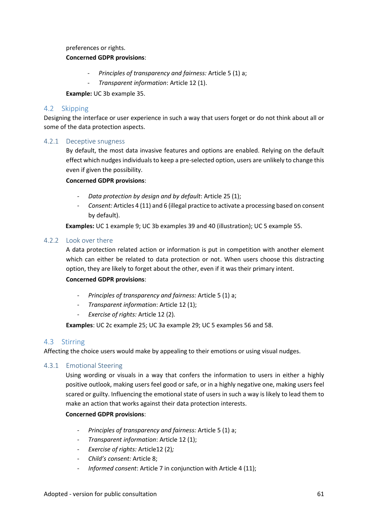preferences or rights.

#### **Concerned GDPR provisions**:

- *Principles of transparency and fairness:* Article 5 (1) a;
- *Transparent information*: Article 12 (1).

**Example:** UC 3b example 35.

## 4.2 Skipping

Designing the interface or user experience in such a way that users forget or do not think about all or some of the data protection aspects.

#### 4.2.1 Deceptive snugness

By default, the most data invasive features and options are enabled. Relying on the default effect which nudges individuals to keep a pre-selected option, users are unlikely to change this even if given the possibility.

#### **Concerned GDPR provisions**:

- *Data protection by design and by default*: Article 25 (1);
- *Consent:* Articles 4 (11) and 6 (illegal practice to activate a processing based on consent by default).

**Examples:** UC 1 example 9; UC 3b examples 39 and 40 (illustration); UC 5 example 55.

#### 4.2.2 Look over there

A data protection related action or information is put in competition with another element which can either be related to data protection or not. When users choose this distracting option, they are likely to forget about the other, even if it was their primary intent.

# **Concerned GDPR provisions**:

- *Principles of transparency and fairness:* Article 5 (1) a;
- *Transparent information*: Article 12 (1);
- *Exercise of rights:* Article 12 (2)*.*

**Examples**: UC 2c example 25; UC 3a example 29; UC 5 examples 56 and 58.

# 4.3 Stirring

Affecting the choice users would make by appealing to their emotions or using visual nudges.

# 4.3.1 Emotional Steering

Using wording or visuals in a way that confers the information to users in either a highly positive outlook, making users feel good or safe, or in a highly negative one, making users feel scared or guilty. Influencing the emotional state of users in such a way is likely to lead them to make an action that works against their data protection interests.

#### **Concerned GDPR provisions**:

- *Principles of transparency and fairness:* Article 5 (1) a;
- *Transparent information*: Article 12 (1);
- *Exercise of rights:* Article12 (2)*;*
- *Child's consent:* Article 8;
- *Informed consent*: Article 7 in conjunction with Article 4 (11);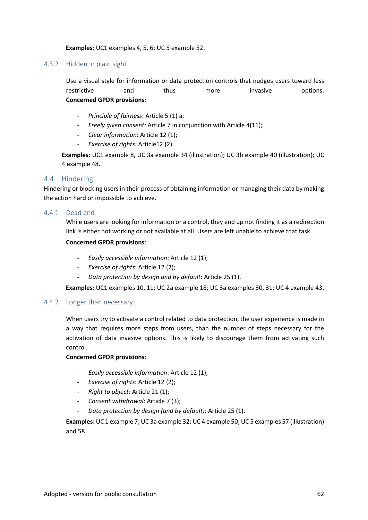#### **Examples:** UC1 examples 4, 5, 6; UC 5 example 52.

#### 4.3.2 Hidden in plain sight

Use a visual style for information or data protection controls that nudges users toward less restrictive and thus more invasive options. **Concerned GPDR provisions**:

- *Principle of fairness*: Article 5 (1) a;
- *Freely given consent:* Article 7 in conjunction with Article 4(11);
- *Clear information*: Article 12 (1);
- *Exercise of rights:* Article12 (2)

**Examples:** UC1 example 8, UC 3a example 34 (illustration); UC 3b example 40 (illustration); UC 4 example 48.

#### 4.4 Hindering

Hindering or blocking users in their process of obtaining information or managing their data by making the action hard or impossible to achieve.

#### 4.4.1 Dead end

While users are looking for information or a control, they end up not finding it as a redirection link is either not working or not available at all. Users are left unable to achieve that task.

#### **Concerned GPDR provisions**:

- *Easily accessible information*: Article 12 (1);
- *Exercise of rights*: Article 12 (2);
- *Data protection by design and by default*: Article 25 (1).

**Examples:** UC1 examples 10, 11; UC 2a example 18; UC 3a examples 30, 31; UC 4 example 43.

#### 4.4.2 Longer than necessary

When users try to activate a control related to data protection, the user experience is made in a way that requires more steps from users, than the number of steps necessary for the activation of data invasive options. This is likely to discourage them from activating such control.

#### **Concerned GPDR provisions**:

- *Easily accessible information*: Article 12 (1);
- *Exercise of rights*: Article 12 (2);
- *Right to object*: Article 21 (1);
- *Consent withdrawal*: Article 7 (3);
- *Data protection by design (and by default)*: Article 25 (1).

**Examples:** UC 1 example 7; UC 3a example 32; UC 4 example 50; UC 5 examples 57 (illustration) and 58.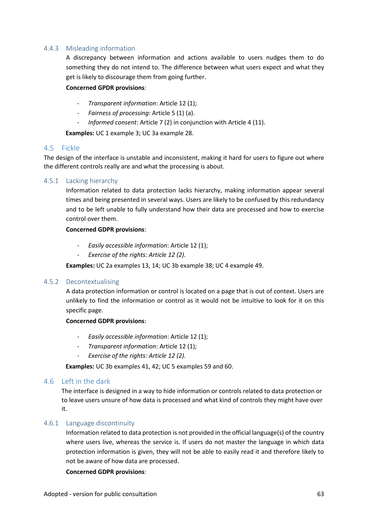# 4.4.3 Misleading information

A discrepancy between information and actions available to users nudges them to do something they do not intend to. The difference between what users expect and what they get is likely to discourage them from going further.

#### **Concerned GPDR provisions**:

- *Transparent information*: Article 12 (1);
- *Fairness of processing*: Article 5 (1) (a).
- *Informed consent*: Article 7 (2) in conjunction with Article 4 (11).

**Examples:** UC 1 example 3; UC 3a example 28.

#### 4.5 Fickle

The design of the interface is unstable and inconsistent, making it hard for users to figure out where the different controls really are and what the processing is about.

#### 4.5.1 Lacking hierarchy

Information related to data protection lacks hierarchy, making information appear several times and being presented in several ways. Users are likely to be confused by this redundancy and to be left unable to fully understand how their data are processed and how to exercise control over them.

#### **Concerned GDPR provisions**:

- *Easily accessible information*: Article 12 (1);
- *Exercise of the rights: Article 12 (2).*

**Examples:** UC 2a examples 13, 14; UC 3b example 38; UC 4 example 49.

#### 4.5.2 Decontextualising

A data protection information or control is located on a page that is out of context. Users are unlikely to find the information or control as it would not be intuitive to look for it on this specific page.

#### **Concerned GDPR provisions**:

- *Easily accessible information*: Article 12 (1);
- *Transparent information*: Article 12 (1);
- *Exercise of the rights: Article 12 (2).*

**Examples:** UC 3b examples 41, 42; UC 5 examples 59 and 60.

# 4.6 Left in the dark

The interface is designed in a way to hide information or controls related to data protection or to leave users unsure of how data is processed and what kind of controls they might have over it.

# 4.6.1 Language discontinuity

Information related to data protection is not provided in the official language(s) of the country where users live, whereas the service is. If users do not master the language in which data protection information is given, they will not be able to easily read it and therefore likely to not be aware of how data are processed.

#### **Concerned GDPR provisions**: